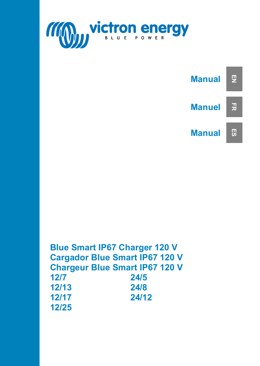



|       | <b>Blue Smart IP67 Charger 120 V</b>  |
|-------|---------------------------------------|
|       | <b>Cargador Blue Smart IP67 120 V</b> |
|       | <b>Chargeur Blue Smart IP67 120 V</b> |
| 12/7  | 24/5                                  |
| 12/13 | 24/8                                  |
| 12/17 | 24/12                                 |
| 12/25 |                                       |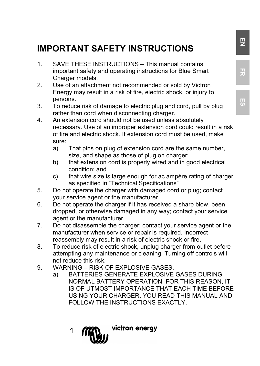# **IMPORTANT SAFETY INSTRUCTIONS**

- 1. SAVE THESE INSTRUCTIONS This manual contains important safety and operating instructions for Blue Smart Charger models.
- 2. Use of an attachment not recommended or sold by Victron Energy may result in a risk of fire, electric shock, or injury to persons.
- 3. To reduce risk of damage to electric plug and cord, pull by plug rather than cord when disconnecting charger.
- 4. An extension cord should not be used unless absolutely necessary. Use of an improper extension cord could result in a risk of fire and electric shock. If extension cord must be used, make sure:
	- a) That pins on plug of extension cord are the same number, size, and shape as those of plug on charger;
	- b) that extension cord is properly wired and in good electrical condition; and
	- c) that wire size is large enough for ac ampère rating of charger as specified in "Technical Specifications"
- 5. Do not operate the charger with damaged cord or plug; contact your service agent or the manufacturer.
- 6. Do not operate the charger if it has received a sharp blow, been dropped, or otherwise damaged in any way; contact your service agent or the manufacturer.
- 7. Do not disassemble the charger; contact your service agent or the manufacturer when service or repair is required. Incorrect reassembly may result in a risk of electric shock or fire.
- 8. To reduce risk of electric shock, unplug charger from outlet before attempting any maintenance or cleaning. Turning off controls will not reduce this risk.
- 9. WARNING RISK OF EXPLOSIVE GASES.
	- a) BATTERIES GENERATE EXPLOSIVE GASES DURING NORMAL BATTERY OPERATION. FOR THIS REASON, IT IS OF UTMOST IMPORTANCE THAT EACH TIME BEFORE USING YOUR CHARGER, YOU READ THIS MANUAL AND FOLLOW THE INSTRUCTIONS EXACTLY.

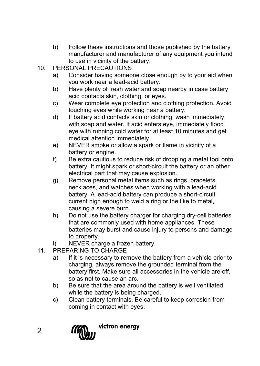- b) Follow these instructions and those published by the battery manufacturer and manufacturer of any equipment you intend to use in vicinity of the battery.
- 10. PERSONAL PRECAUTIONS
	- a) Consider having someone close enough by to your aid when you work near a lead-acid battery.
	- b) Have plenty of fresh water and soap nearby in case battery acid contacts skin, clothing, or eyes.
	- c) Wear complete eye protection and clothing protection. Avoid touching eyes while working near a battery.
	- d) If battery acid contacts skin or clothing, wash immediately with soap and water. If acid enters eye, immediately flood eye with running cold water for at least 10 minutes and get medical attention immediately.
	- e) NEVER smoke or allow a spark or flame in vicinity of a battery or engine.
	- f) Be extra cautious to reduce risk of dropping a metal tool onto battery. It might spark or short-circuit the battery or an other electrical part that may cause explosion.
	- g) Remove personal metal items such as rings, bracelets, necklaces, and watches when working with a lead-acid battery. A lead-acid battery can produce a short-circuit current high enough to weld a ring or the like to metal, causing a severe burn.
	- h) Do not use the battery charger for charging dry-cell batteries that are commonly used with home appliances. These batteries may burst and cause injury to persons and damage to property.
	- i) NEVER charge a frozen battery.
- 11. PREPARING TO CHARGE
	- a) If it is necessary to remove the battery from a vehicle prior to charging, always remove the grounded terminal from the battery first. Make sure all accessories in the vehicle are off, so as not to cause an arc.
	- b) Be sure that the area around the battery is well ventilated while the battery is being charged.
	- c) Clean battery terminals. Be careful to keep corrosion from coming in contact with eyes.



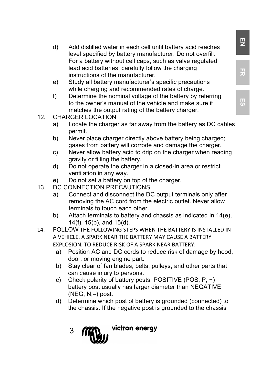- d) Add distilled water in each cell until battery acid reaches level specified by battery manufacturer. Do not overfill. For a battery without cell caps, such as valve regulated lead acid batteries, carefully follow the charging instructions of the manufacturer.
- e) Study all battery manufacturer's specific precautions while charging and recommended rates of charge.
- f) Determine the nominal voltage of the battery by referring to the owner's manual of the vehicle and make sure it matches the output rating of the battery charger.
- 12. CHARGER LOCATION<br>a) Locate the charge
	- Locate the charger as far away from the battery as DC cables permit.
	- b) Never place charger directly above battery being charged; gases from battery will corrode and damage the charger.
	- c) Never allow battery acid to drip on the charger when reading gravity or filling the battery.
	- d) Do not operate the charger in a closed-in area or restrict ventilation in any way.
	- e) Do not set a battery on top of the charger.
- 13. DC CONNECTION PRECAUTIONS
	- a) Connect and disconnect the DC output terminals only after removing the AC cord from the electric outlet. Never allow terminals to touch each other.
	- b) Attach terminals to battery and chassis as indicated in 14(e), 14(f), 15(b), and 15(d).
- 14. FOLLOW THE FOLLOWING STEPS WHEN THE BATTERY IS INSTALLED IN A VEHICLE. A SPARK NEAR THE BATTERY MAY CAUSE A BATTERY EXPLOSION. TO REDUCE RISK OF A SPARK NEAR BATTERY:
	- a) Position AC and DC cords to reduce risk of damage by hood, door, or moving engine part.
	- b) Stay clear of fan blades, belts, pulleys, and other parts that can cause injury to persons.
	- c) Check polarity of battery posts. POSITIVE (POS, P, +) battery post usually has larger diameter than NEGATIVE (NEG, N,–) post.
	- d) Determine which post of battery is grounded (connected) to the chassis. If the negative post is grounded to the chassis
		- victron energy 3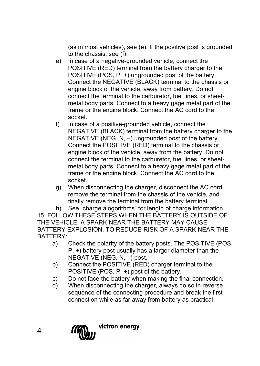(as in most vehicles), see (e). If the positive post is grounded to the chassis, see (f).

- e) In case of a negative-grounded vehicle, connect the POSITIVE (RED) terminal from the battery charger to the POSITIVE (POS, P, +) ungrounded post of the battery. Connect the NEGATIVE (BLACK) terminal to the chassis or engine block of the vehicle, away from battery. Do not connect the terminal to the carburetor, fuel lines, or sheetmetal body parts. Connect to a heavy gage metal part of the frame or the engine block. Connect the AC cord to the socket.
- f) In case of a positive-grounded vehicle, connect the NEGATIVE (BLACK) terminal from the battery charger to the NEGATIVE (NEG, N, –) ungrounded post of the battery. Connect the POSITIVE (RED) terminal to the chassis or engine block of the vehicle, away from the battery. Do not connect the terminal to the carburetor, fuel lines, or sheetmetal body parts. Connect to a heavy gage metal part of the frame or the engine block. Connect the AC cord to the socket.
- g) When disconnecting the charger, disconnect the AC cord, remove the terminal from the chassis of the vehicle, and finally remove the terminal from the battery terminal.

h) See "charge alogorithms" for length of charge information.

15. FOLLOW THESE STEPS WHEN THE BATTERY IS OUTSIDE OF THE VEHICLE. A SPARK NEAR THE BATTERY MAY CAUSE BATTERY EXPLOSION. TO REDUCE RISK OF A SPARK NEAR THE BATTERY:

- a) Check the polarity of the battery posts. The POSITIVE (POS, P, +) battery post usually has a larger diameter than the NEGATIVE (NEG, N, –) post.
- b) Connect the POSITIVE (RED) charger terminal to the POSITIVE (POS, P, +) post of the battery.
- c) Do not face the battery when making the final connection.
- d) When disconnecting the charger, always do so in reverse sequence of the connecting procedure and break the first connection while as far away from battery as practical.

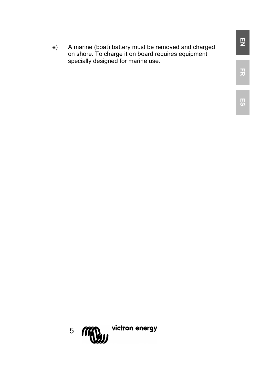e) A marine (boat) battery must be removed and charged on shore. To charge it on board requires equipment specially designed for marine use.

**FR**

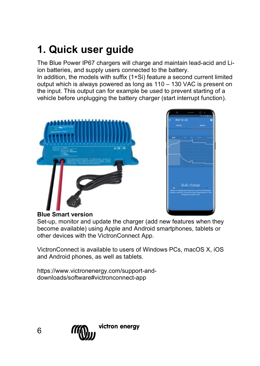# **1. Quick user guide**

The Blue Power IP67 chargers will charge and maintain lead-acid and Liion batteries, and supply users connected to the battery.

In addition, the models with suffix (1+Si) feature a second current limited output which is always powered as long as 110 – 130 VAC is present on the input. This output can for example be used to prevent starting of a vehicle before unplugging the battery charger (start interrupt function).





### **Blue Smart version**

Set-up, monitor and update the charger (add new features when they become available) using Apple and Android smartphones, tablets or other devices with the VictronConnect App.

VictronConnect is available to users of Windows PCs, macOS X, iOS and Android phones, as well as tablets.

https://www.victronenergy.com/support-anddownloads/software#victronconnect-app



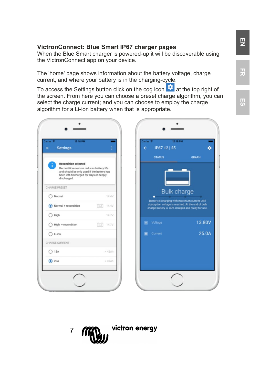#### **VictronConnect: Blue Smart IP67 charger pages**

When the Blue Smart charger is powered-up it will be discoverable using the VictronConnect app on your device.

The 'home' page shows information about the battery voltage, charge current, and where your battery is in the charging-cycle.

To access the Settings button click on the cog icon  $\bullet$  at the top right of the screen. From here you can choose a preset charge algorithm, you can select the charge current; and you can choose to employ the charge algorithm for a Li-ion battery when that is appropriate.

| 12:18 PM<br><b>Settings</b><br>$\overline{\mathsf{x}}$                                                                                                                               | ŧ             |
|--------------------------------------------------------------------------------------------------------------------------------------------------------------------------------------|---------------|
| <b>Recondition selected</b><br>ì<br>Recondition overuse reduces battery life<br>and should be only used if the battery has<br>been left discharged for days or deeply<br>discharged. |               |
| CHARGE PRESET                                                                                                                                                                        |               |
| ◯ Normal                                                                                                                                                                             | 14.4V         |
| Normal + recondition                                                                                                                                                                 | 国<br>14.4V    |
| $\bigcap$ High                                                                                                                                                                       | 14.7V         |
| High + recondition                                                                                                                                                                   | $221 - 14.7V$ |
| $O$ LHon                                                                                                                                                                             |               |
| CHARGE CURRENT                                                                                                                                                                       |               |
| $\bigcap$ 13A                                                                                                                                                                        | $<$ 42Ah      |
| $\odot$ 25A                                                                                                                                                                          | $>42$ Ah      |



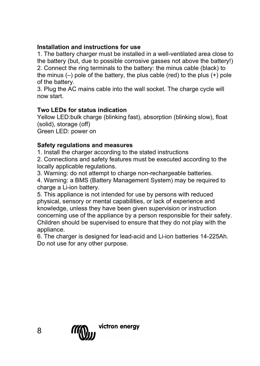# **Installation and instructions for use**

1. The battery charger must be installed in a well-ventilated area close to the battery (but, due to possible corrosive gasses not above the battery!) 2. Connect the ring terminals to the battery: the minus cable (black) to the minus  $(-)$  pole of the battery, the plus cable (red) to the plus  $(+)$  pole of the battery.

3. Plug the AC mains cable into the wall socket. The charge cycle will now start.

# **Two LEDs for status indication**

Yellow LED:bulk charge (blinking fast), absorption (blinking slow), float (solid), storage (off) Green LED: power on

# **Safety regulations and measures**

1. Install the charger according to the stated instructions

2. Connections and safety features must be executed according to the locally applicable regulations.

3. Warning: do not attempt to charge non-rechargeable batteries.

4. Warning: a BMS (Battery Management System) may be required to charge a Li-ion battery.

5. This appliance is not intended for use by persons with reduced physical, sensory or mental capabilities, or lack of experience and knowledge, unless they have been given supervision or instruction concerning use of the appliance by a person responsible for their safety. Children should be supervised to ensure that they do not play with the appliance.

6. The charger is designed for lead-acid and Li-ion batteries 14-225Ah. Do not use for any other purpose.

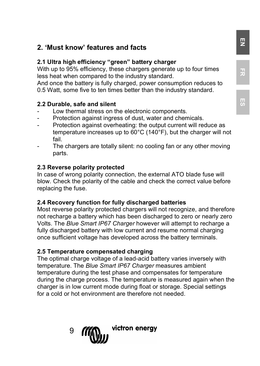# **2. 'Must know' features and facts**

# **2.1 Ultra high efficiency "green" battery charger**

With up to 95% efficiency, these chargers generate up to four times less heat when compared to the industry standard.

And once the battery is fully charged, power consumption reduces to 0.5 Watt, some five to ten times better than the industry standard.

#### **2.2 Durable, safe and silent**

- Low thermal stress on the electronic components.
- Protection against ingress of dust, water and chemicals.
- Protection against overheating: the output current will reduce as temperature increases up to 60°C (140°F), but the charger will not fail.
- The chargers are totally silent: no cooling fan or any other moving parts.

#### **2.3 Reverse polarity protected**

In case of wrong polarity connection, the external ATO blade fuse will blow. Check the polarity of the cable and check the correct value before replacing the fuse.

#### **2.4 Recovery function for fully discharged batteries**

Most reverse polarity protected chargers will not recognize, and therefore not recharge a battery which has been discharged to zero or nearly zero Volts. The *Blue Smart IP67 Charger* however will attempt to recharge a fully discharged battery with low current and resume normal charging once sufficient voltage has developed across the battery terminals.

#### **2.5 Temperature compensated charging**

The optimal charge voltage of a lead-acid battery varies inversely with temperature. The *Blue Smart IP67 Charger* measures ambient temperature during the test phase and compensates for temperature during the charge process. The temperature is measured again when the charger is in low current mode during float or storage. Special settings for a cold or hot environment are therefore not needed.



**ES**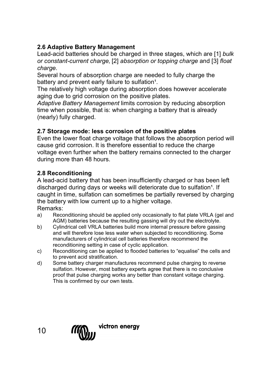# **2.6 Adaptive Battery Management**

Lead-acid batteries should be charged in three stages, which are [1] *bulk or constant-current charge,* [2] *absorption or topping charge* and [3] *float charge.*

Several hours of absorption charge are needed to fully charge the battery and prevent early failure to sulfation<sup>1</sup>.

The relatively high voltage during absorption does however accelerate aging due to grid corrosion on the positive plates.

*Adaptive Battery Management* limits corrosion by reducing absorption time when possible, that is: when charging a battery that is already (nearly) fully charged.

# **2.7 Storage mode: less corrosion of the positive plates**

Even the lower float charge voltage that follows the absorption period will cause grid corrosion. It is therefore essential to reduce the charge voltage even further when the battery remains connected to the charger during more than 48 hours.

# **2.8 Reconditioning**

A lead-acid battery that has been insufficiently charged or has been left discharged during days or weeks will deteriorate due to sulfation<sup>1</sup>. If caught in time, sulfation can sometimes be partially reversed by charging the battery with low current up to a higher voltage. Remarks:

- a) Reconditioning should be applied only occasionally to flat plate VRLA (gel and AGM) batteries because the resulting gassing will dry out the electrolyte.
- b) Cylindrical cell VRLA batteries build more internal pressure before gassing and will therefore lose less water when subjected to reconditioning. Some manufacturers of cylindrical cell batteries therefore recommend the reconditioning setting in case of cyclic application.
- c) Reconditioning can be applied to flooded batteries to "equalise" the cells and to prevent acid stratification.
- d) Some battery charger manufactures recommend pulse charging to reverse sulfation. However, most battery experts agree that there is no conclusive proof that pulse charging works any better than constant voltage charging. This is confirmed by our own tests.

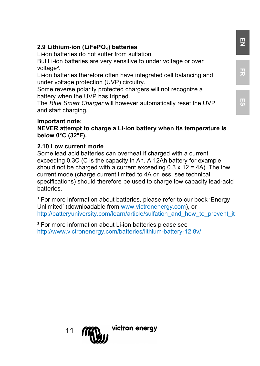# **2.9 Lithium-ion (LiFePO**₄**) batteries**

Li-ion batteries do not suffer from sulfation.

But Li-ion batteries are very sensitive to under voltage or over voltage<sup>2</sup>.

Li-ion batteries therefore often have integrated cell balancing and under voltage protection (UVP) circuitry.

Some reverse polarity protected chargers will not recognize a battery when the UVP has tripped.

The *Blue Smart Charger* will however automatically reset the UVP and start charging.

#### **Important note:**

**NEVER attempt to charge a Li-ion battery when its temperature is below 0°C (32°F).**

### **2.10 Low current mode**

Some lead acid batteries can overheat if charged with a current exceeding 0.3C (C is the capacity in Ah. A 12Ah battery for example should not be charged with a current exceeding  $0.3 \times 12 = 4$ A). The low current mode (charge current limited to 4A or less, see technical specifications) should therefore be used to charge low capacity lead-acid batteries.

<sup>1</sup> For more information about batteries, please refer to our book 'Energy Unlimited' (downloadable fro[m www.victronenergy.com\)](http://www.victronenergy.com/), or [http://batteryuniversity.com/learn/article/sulfation\\_and\\_how\\_to\\_prevent\\_it](http://batteryuniversity.com/learn/article/sulfation_and_how_to_prevent_it)

² For more information about Li-ion batteries please see http://www.victronenergy.com/batteries/lithium-battery-12,8v/



# **EN**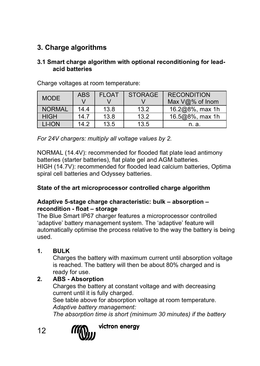# **3. Charge algorithms**

### **3.1 Smart charge algorithm with optional reconditioning for leadacid batteries**

| <b>MODE</b>   | <b>ABS</b> | <b>FLOAT</b> | <b>STORAGE</b> | <b>RECONDITION</b>       |
|---------------|------------|--------------|----------------|--------------------------|
|               |            |              |                | Max $\sqrt{a}\%$ of Inom |
| <b>NORMAL</b> | 14.4       | 13.8         | 13.2           | 16.2@8%, max 1h          |
| <b>HIGH</b>   | 14.7       | 13.8         | 13.2           | 16.5@8%, max 1h          |
| LI-ION        | 14.2       | 13.5         | 13.5           | n. a.                    |

Charge voltages at room temperature:

*For 24V chargers: multiply all voltage values by 2.*

NORMAL (14.4V): recommended for flooded flat plate lead antimony batteries (starter batteries), flat plate gel and AGM batteries. HIGH (14.7V): recommended for flooded lead calcium batteries, Optima spiral cell batteries and Odyssey batteries.

### **State of the art microprocessor controlled charge algorithm**

# **Adaptive 5-stage charge characteristic: bulk – absorption – recondition - float – storage**

The Blue Smart IP67 charger features a microprocessor controlled 'adaptive' battery management system. The 'adaptive' feature will automatically optimise the process relative to the way the battery is being used.

# **1. BULK**

Charges the battery with maximum current until absorption voltage is reached. The battery will then be about 80% charged and is ready for use.

# **2. ABS - Absorption**

Charges the battery at constant voltage and with decreasing current until it is fully charged.

See table above for absorption voltage at room temperature. *Adaptive battery management:*

*The absorption time is short (minimum 30 minutes) if the battery* 

12

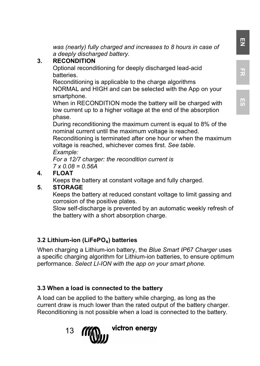*was (nearly) fully charged and increases to 8 hours in case of a deeply discharged battery.*

# **3. RECONDITION**

Optional reconditioning for deeply discharged lead-acid batteries.

Reconditioning is applicable to the charge algorithms NORMAL and HIGH and can be selected with the App on your smartphone.

When in RECONDITION mode the battery will be charged with low current up to a higher voltage at the end of the absorption phase.

During reconditioning the maximum current is equal to 8% of the nominal current until the maximum voltage is reached.

Reconditioning is terminated after one hour or when the maximum voltage is reached, whichever comes first. *See table.*

*Example:*

*For a 12/7 charger: the recondition current is 7 x 0.08 = 0.56A*

# **4. FLOAT**

Keeps the battery at constant voltage and fully charged.

# **5. STORAGE**

Keeps the battery at reduced constant voltage to limit gassing and corrosion of the positive plates.

Slow self-discharge is prevented by an automatic weekly refresh of the battery with a short absorption charge.

# **3.2 Lithium-ion (LiFePO**₄**) batteries**

When charging a Lithium-ion battery, the *Blue Smart IP67 Charger* uses a specific charging algorithm for Lithium-ion batteries, to ensure optimum performance. *Select LI-ION with the app on your smart phone.*

# **3.3 When a load is connected to the battery**

A load can be applied to the battery while charging, as long as the current draw is much lower than the rated output of the battery charger. Reconditioning is not possible when a load is connected to the battery.

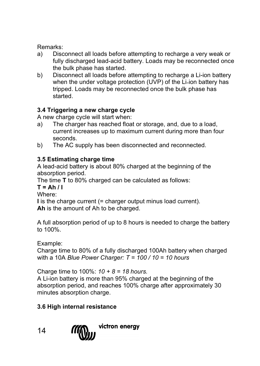Remarks:

- a) Disconnect all loads before attempting to recharge a very weak or fully discharged lead-acid battery. Loads may be reconnected once the bulk phase has started.
- b) Disconnect all loads before attempting to recharge a Li-ion battery when the under voltage protection (UVP) of the Li-ion battery has tripped. Loads may be reconnected once the bulk phase has started.

# **3.4 Triggering a new charge cycle**

A new charge cycle will start when:

- a) The charger has reached float or storage, and, due to a load, current increases up to maximum current during more than four seconds.
- b) The AC supply has been disconnected and reconnected.

# **3.5 Estimating charge time**

A lead-acid battery is about 80% charged at the beginning of the absorption period.

The time **T** to 80% charged can be calculated as follows:

 $T = Ah / I$ 

Where:

**I** is the charge current (= charger output minus load current).

**Ah** is the amount of Ah to be charged.

A full absorption period of up to 8 hours is needed to charge the battery to 100%.

Example:

Charge time to 80% of a fully discharged 100Ah battery when charged with a 10A *Blue Power Charger: T = 100 / 10 = 10 hours*

Charge time to 100%: *10 + 8 = 18 hours.*

A Li-ion battery is more than 95% charged at the beginning of the absorption period, and reaches 100% charge after approximately 30 minutes absorption charge.

# **3.6 High internal resistance**

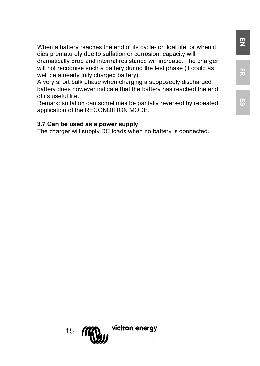When a battery reaches the end of its cycle- or float life, or when it dies prematurely due to sulfation or corrosion, capacity will dramatically drop and internal resistance will increase. The charger will not recognise such a battery during the test phase (it could as well be a nearly fully charged battery).

A very short bulk phase when charging a supposedly discharged battery does however indicate that the battery has reached the end of its useful life.

Remark: sulfation can sometimes be partially reversed by repeated application of the RECONDITION MODE.

#### **3.7 Can be used as a power supply**

The charger will supply DC loads when no battery is connected.



**EN**

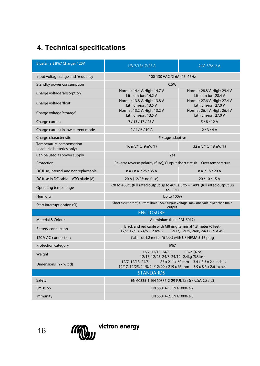# **4. Technical specifications**

| Blue Smart IP67 Charger 120V                           | 12V 7/13/17/25 A                                                                                                                    | 24V 5/8/12 A                                         |  |
|--------------------------------------------------------|-------------------------------------------------------------------------------------------------------------------------------------|------------------------------------------------------|--|
| Input voltage range and frequency                      | 100-130 VAC (2-6A) 45 -65Hz                                                                                                         |                                                      |  |
| Standby power consumption                              | 0.5W                                                                                                                                |                                                      |  |
| Charge voltage 'absorption'                            | Normal: 14.4 V, High: 14.7 V<br>Lithium-ion: 14.2 V                                                                                 | Normal: 28,8 V, High: 29.4 V<br>Lithium-ion: 28.4 V  |  |
| Charge voltage 'float'                                 | Normal: 13.8 V. High: 13.8 V<br>Lithium-ion: 13.5 V                                                                                 | Normal: 27.6 V. High: 27.4 V<br>I ithium-ion: 27.0 V |  |
| Charge voltage 'storage'                               | Normal: 13.2 V, High: 13.2 V<br>Lithium-ion: 13.5 V                                                                                 | Normal: 26.4 V, High: 26.4 V<br>I ithium-ion: 27.0 V |  |
| Charge current                                         | 7/13/17/25A                                                                                                                         | 5/8/12A                                              |  |
| Charge current in low current mode                     | 2/4/6/10A                                                                                                                           | 2/3/4A                                               |  |
| Charge characteristic                                  | 5-stage adaptive                                                                                                                    |                                                      |  |
| Temperature compensation<br>(lead-acid batteries only) | 16 mV/°C (9mV/°F)                                                                                                                   | 32 mV/°C (18mV/°F)                                   |  |
| Can be used as power supply                            | Yes                                                                                                                                 |                                                      |  |
| Protection                                             | Reverse reverse polarity (fuse), Output short circuit   Over temperature                                                            |                                                      |  |
| DC fuse, internal and not replaceable                  | n.a / n.a. / 25 / 35 A                                                                                                              | n.a. / 15 / 20 A                                     |  |
| DC fuse in DC cable - ATO blade (A)                    | 20 A (12/25: no fuse)                                                                                                               | 20/10/15A                                            |  |
| Operating temp. range                                  | -20 to +60°C (full rated output up to 40°C), 0 to + 140°F (full rated output up<br>to 90°F)                                         |                                                      |  |
| Humidity                                               | Up to 100%                                                                                                                          |                                                      |  |
| Start interrupt option (Si)                            | Short cicuit proof, current limit 0.5A, Output voltage: max one volt lower than main<br>output                                      |                                                      |  |
|                                                        | <b>ENCLOSURE</b>                                                                                                                    |                                                      |  |
| Material & Colour                                      | Aluminium (blue RAL 5012)                                                                                                           |                                                      |  |
| Battery-connection                                     | Black and red cable with M8 ring terminal 1.8 meter (6 feet)<br>12/7, 12/13, 24/5 -12 AWG<br>12/17, 12/25, 24/8, 24/12 - 9 AWG      |                                                      |  |
| 120 V AC-connection                                    | Cable of 1.8 meter (6 feet) with US NEMA 5-15 plug                                                                                  |                                                      |  |
| Protection category                                    | <b>IP67</b>                                                                                                                         |                                                      |  |
| Weight                                                 | 12/7, 12/13, 24/5:<br>1.8kg (4lbs)<br>12/17, 12/25, 24/8, 24/12: 2.4kg (5.3lbs)                                                     |                                                      |  |
| Dimensions (h x w x d)                                 | 12/7, 12/13, 24/5:<br>85 x 211 x 60 mm 3.4 x 8.3 x 2.4 inches<br>12/17, 12/25, 24/8, 24/12: 99 x 219 x 65 mm 3.9 x 8.6 x 2.6 inches |                                                      |  |
|                                                        | <b>STANDARDS</b>                                                                                                                    |                                                      |  |
| Safety                                                 | EN 60335-1, EN 60335-2-29 (UL1236 / CSA C22.2)                                                                                      |                                                      |  |
| <b>Emission</b>                                        | EN 55014-1, EN 61000-3-2                                                                                                            |                                                      |  |
| Immunity                                               | FN 55014-2. FN 61000-3-3                                                                                                            |                                                      |  |

16

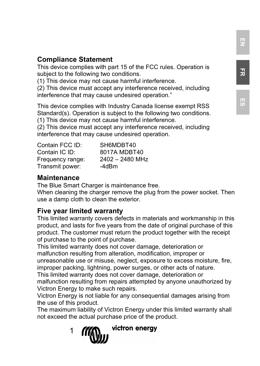# **Compliance Statement**

This device complies with part 15 of the FCC rules. Operation is subject to the following two conditions.

(1) This device may not cause harmful interference.

(2) This device must accept any interference received, including interference that may cause undesired operation."

This device complies with Industry Canada license exempt RSS Standard(s). Operation is subject to the following two conditions. (1) This device may not cause harmful interference.

(2) This device must accept any interference received, including interference that may cause undesired operation.

| Contain FCC ID:  | SH6MDBT40       |
|------------------|-----------------|
| Contain IC ID:   | 8017A MDBT40    |
| Frequency range: | 2402 - 2480 MHz |
| Transmit power:  | -4dBm           |

# **Maintenance**

The Blue Smart Charger is maintenance free.

When cleaning the charger remove the plug from the power socket. Then use a damp cloth to clean the exterior.

# **Five year limited warranty**

This limited warranty covers defects in materials and workmanship in this product, and lasts for five years from the date of original purchase of this product. The customer must return the product together with the receipt of purchase to the point of purchase.

This limited warranty does not cover damage, deterioration or malfunction resulting from alteration, modification, improper or unreasonable use or misuse, neglect, exposure to excess moisture, fire, improper packing, lightning, power surges, or other acts of nature. This limited warranty does not cover damage, deterioration or

malfunction resulting from repairs attempted by anyone unauthorized by Victron Energy to make such repairs.

Victron Energy is not liable for any consequential damages arising from the use of this product.

The maximum liability of Victron Energy under this limited warranty shall not exceed the actual purchase price of the product.



# **ES**

**FR**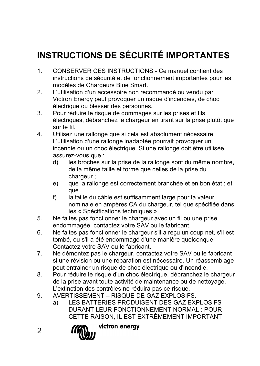# **INSTRUCTIONS DE SÉCURITÉ IMPORTANTES**

- 1. CONSERVER CES INSTRUCTIONS Ce manuel contient des instructions de sécurité et de fonctionnement importantes pour les modèles de Chargeurs Blue Smart.
- 2. L'utilisation d'un accessoire non recommandé ou vendu par Victron Energy peut provoquer un risque d'incendies, de choc électrique ou blesser des personnes.
- 3. Pour réduire le risque de dommages sur les prises et fils électriques, débranchez le chargeur en tirant sur la prise plutôt que sur le fil.
- 4. Utilisez une rallonge que si cela est absolument nécessaire. L'utilisation d'une rallonge inadaptée pourrait provoquer un incendie ou un choc électrique. Si une rallonge doit être utilisée, assurez-vous que :
	- d) les broches sur la prise de la rallonge sont du même nombre, de la même taille et forme que celles de la prise du chargeur :
	- e) que la rallonge est correctement branchée et en bon état ; et que
	- f) la taille du câble est suffisamment large pour la valeur nominale en ampères CA du chargeur, tel que spécifiée dans les « Spécifications techniques ».
- 5. Ne faites pas fonctionner le chargeur avec un fil ou une prise endommagée, contactez votre SAV ou le fabricant.
- 6. Ne faites pas fonctionner le chargeur s'il a reçu un coup net, s'il est tombé, ou s'il a été endommagé d'une manière quelconque. Contactez votre SAV ou le fabricant.
- 7. Ne démontez pas le chargeur, contactez votre SAV ou le fabricant si une révision ou une réparation est nécessaire. Un réassemblage peut entrainer un risque de choc électrique ou d'incendie.
- 8. Pour réduire le risque d'un choc électrique, débranchez le chargeur de la prise avant toute activité de maintenance ou de nettoyage. L'extinction des contrôles ne réduira pas ce risque.
- 9. AVERTISSEMENT RISQUE DE GAZ EXPLOSIFS.
	- a) LES BATTERIES PRODUISENT DES GAZ EXPLOSIFS DURANT LEUR FONCTIONNEMENT NORMAL : POUR CETTE RAISON, IL EST EXTRÊMEMENT IMPORTANT
- $\mathfrak{p}$

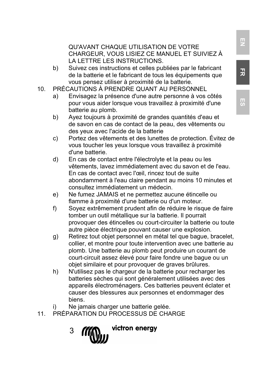#### QU'AVANT CHAQUE UTILISATION DE VOTRE CHARGEUR, VOUS LISIEZ CE MANUEL ET SUIVIEZ À LA LETTRE LES INSTRUCTIONS.

- b) Suivez ces instructions et celles publiées par le fabricant de la batterie et le fabricant de tous les équipements que vous pensez utiliser à proximité de la batterie.
- 10. PRÉCAUTIONS À PRENDRE QUANT AU PERSONNEL
	- Envisagez la présence d'une autre personne à vos côtés pour vous aider lorsque vous travaillez à proximité d'une batterie au plomb.
	- b) Ayez toujours à proximité de grandes quantités d'eau et de savon en cas de contact de la peau, des vêtements ou des yeux avec l'acide de la batterie
	- c) Portez des vêtements et des lunettes de protection. Évitez de vous toucher les yeux lorsque vous travaillez à proximité d'une batterie.
	- d) En cas de contact entre l'électrolyte et la peau ou les vêtements, lavez immédiatement avec du savon et de l'eau. En cas de contact avec l'œil, rincez tout de suite abondamment à l'eau claire pendant au moins 10 minutes et consultez immédiatement un médecin.
	- e) Ne fumez JAMAIS et ne permettez aucune étincelle ou flamme à proximité d'une batterie ou d'un moteur.
	- f) Soyez extrêmement prudent afin de réduire le risque de faire tomber un outil métallique sur la batterie. Il pourrait provoquer des étincelles ou court-circuiter la batterie ou toute autre pièce électrique pouvant causer une explosion.
	- g) Retirez tout objet personnel en métal tel que bague, bracelet, collier, et montre pour toute intervention avec une batterie au plomb. Une batterie au plomb peut produire un courant de court-circuit assez élevé pour faire fondre une bague ou un objet similaire et pour provoquer de graves brûlures.
	- h) N'utilisez pas le chargeur de la batterie pour recharger les batteries sèches qui sont généralement utilisées avec des appareils électroménagers. Ces batteries peuvent éclater et causer des blessures aux personnes et endommager des biens.
	- i) Ne jamais charger une batterie gelée.
- 11. PRÉPARATION DU PROCESSUS DE CHARGE
	- victron energy 3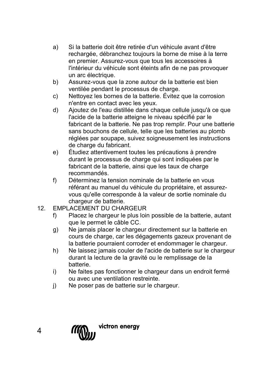- a) Si la batterie doit être retirée d'un véhicule avant d'être rechargée, débranchez toujours la borne de mise à la terre en premier. Assurez-vous que tous les accessoires à l'intérieur du véhicule sont éteints afin de ne pas provoquer un arc électrique.
- b) Assurez-vous que la zone autour de la batterie est bien ventilée pendant le processus de charge.
- c) Nettoyez les bornes de la batterie. Évitez que la corrosion n'entre en contact avec les yeux.
- d) Ajoutez de l'eau distillée dans chaque cellule jusqu'à ce que l'acide de la batterie atteigne le niveau spécifié par le fabricant de la batterie. Ne pas trop remplir. Pour une batterie sans bouchons de cellule, telle que les batteries au plomb réglées par soupape, suivez soigneusement les instructions de charge du fabricant.
- e) Étudiez attentivement toutes les précautions à prendre durant le processus de charge qui sont indiquées par le fabricant de la batterie, ainsi que les taux de charge recommandés.
- f) Déterminez la tension nominale de la batterie en vous référant au manuel du véhicule du propriétaire, et assurezvous qu'elle corresponde à la valeur de sortie nominale du chargeur de batterie.
- 12. EMPLACEMENT DU CHARGEUR
	- f) Placez le chargeur le plus loin possible de la batterie, autant que le permet le câble CC.
	- g) Ne jamais placer le chargeur directement sur la batterie en cours de charge, car les dégagements gazeux provenant de la batterie pourraient corroder et endommager le chargeur.
	- h) Ne laissez jamais couler de l'acide de batterie sur le chargeur durant la lecture de la gravité ou le remplissage de la batterie.
	- i) Ne faites pas fonctionner le chargeur dans un endroit fermé ou avec une ventilation restreinte.
	- j) Ne poser pas de batterie sur le chargeur.

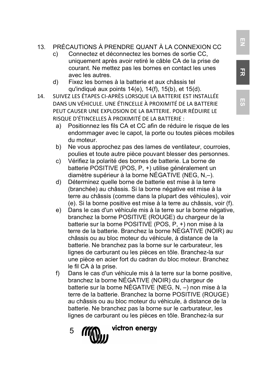- 13. PRÉCAUTIONS À PRENDRE QUANT À LA CONNEXION CC
	- c) Connectez et déconnectez les bornes de sortie CC, uniquement après avoir retiré le câble CA de la prise de courant. Ne mettez pas les bornes en contact les unes avec les autres.
	- d) Fixez les bornes à la batterie et aux châssis tel qu'indiqué aux points 14(e), 14(f), 15(b), et 15(d).
- 14. SUIVEZ LES ÉTAPES CI-APRÈS LORSQUE LA BATTERIE EST INSTALLÉE DANS UN VÉHICULE. UNE ÉTINCELLE À PROXIMITÉ DE LA BATTERIE PEUT CAUSER UNE EXPLOSION DE LA BATTERIE. POUR RÉDUIRE LE RISQUE D'ÉTINCELLES À PROXIMITÉ DE LA BATTERIE :
	- a) Positionnez les fils CA et CC afin de réduire le risque de les endommager avec le capot, la porte ou toutes pièces mobiles du moteur.
	- b) Ne vous approchez pas des lames de ventilateur, courroies, poulies et toute autre pièce pouvant blesser des personnes.
	- c) Vérifiez la polarité des bornes de batterie. La borne de batterie POSITIVE (POS, P, +) utilise généralement un diamètre supérieur à la borne NÉGATIVE (NEG, N,–).
	- d) Déterminez quelle borne de batterie est mise à la terre (branchée) au châssis. Si la borne négative est mise à la terre au châssis (comme dans la plupart des véhicules), voir (e). Si la borne positive est mise à la terre au châssis, voir (f).
	- e) Dans le cas d'un véhicule mis à la terre sur la borne négative, branchez la borne POSITIVE (ROUGE) du chargeur de la batterie sur la borne POSITIVE (POS, P, +) non mise à la terre de la batterie. Branchez la borne NÉGATIVE (NOIR) au châssis ou au bloc moteur du véhicule, à distance de la batterie. Ne branchez pas la borne sur le carburateur, les lignes de carburant ou les pièces en tôle. Branchez-la sur une pièce en acier fort du cadran du bloc moteur. Branchez le fil CA à la prise.
	- f) Dans le cas d'un véhicule mis à la terre sur la borne positive, branchez la borne NÉGATIVE (NOIR) du chargeur de batterie sur la borne NÉGATIVE (NEG, N, –) non mise à la terre de la batterie. Branchez la borne POSITIVE (ROUGE) au châssis ou au bloc moteur du véhicule, à distance de la batterie. Ne branchez pas la borne sur le carburateur, les lignes de carburant ou les pièces en tôle. Branchez-la sur
		- victron energy 5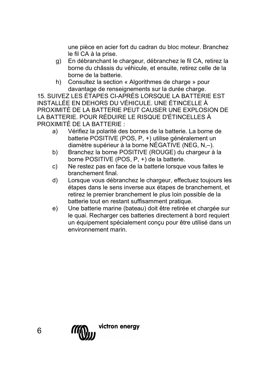une pièce en acier fort du cadran du bloc moteur. Branchez le fil CA à la prise.

- g) En débranchant le chargeur, débranchez le fil CA, retirez la borne du châssis du véhicule, et ensuite, retirez celle de la borne de la batterie.
- h) Consultez la section « Algorithmes de charge » pour davantage de renseignements sur la durée charge.

15. SUIVEZ LES ÉTAPES CI-APRÈS LORSQUE LA BATTERIE EST INSTALLÉE EN DEHORS DU VÉHICULE. UNE ÉTINCELLE À PROXIMITÉ DE LA BATTERIE PEUT CAUSER UNE EXPLOSION DE LA BATTERIE. POUR RÉDUIRE LE RISQUE D'ÉTINCELLES À PROXIMITÉ DE LA BATTERIE :

- a) Vérifiez la polarité des bornes de la batterie. La borne de batterie POSITIVE (POS, P, +) utilise généralement un diamètre supérieur à la borne NÉGATIVE (NEG, N,–).
- b) Branchez la borne POSITIVE (ROUGE) du chargeur à la borne POSITIVE (POS, P, +) de la batterie.
- c) Ne restez pas en face de la batterie lorsque vous faites le branchement final.
- d) Lorsque vous débranchez le chargeur, effectuez toujours les étapes dans le sens inverse aux étapes de branchement, et retirez le premier branchement le plus loin possible de la batterie tout en restant suffisamment pratique.
- e) Une batterie marine (bateau) doit être retirée et chargée sur le quai. Recharger ces batteries directement à bord requiert un équipement spécialement conçu pour être utilisé dans un environnement marin.

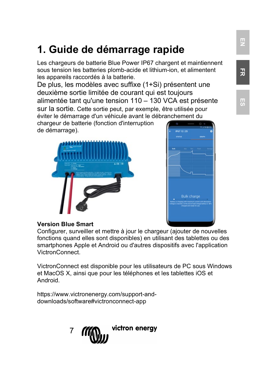# **1. Guide de démarrage rapide**

Les chargeurs de batterie Blue Power IP67 chargent et maintiennent sous tension les batteries plomb-acide et lithium-ion, et alimentent les appareils raccordés à la batterie.

De plus, les modèles avec suffixe (1+Si) présentent une deuxième sortie limitée de courant qui est toujours alimentée tant qu'une tension 110 – 130 VCA est présente sur la sortie. Cette sortie peut, par exemple, être utilisée pour éviter le démarrage d'un véhicule avant le débranchement du

chargeur de batterie (fonction d'interruption de démarrage).





### **Version Blue Smart**

Configurer, surveiller et mettre à jour le chargeur (ajouter de nouvelles fonctions quand elles sont disponibles) en utilisant des tablettes ou des smartphones Apple et Android ou d'autres dispositifs avec l'application VictronConnect.

VictronConnect est disponible pour les utilisateurs de PC sous Windows et MacOS X, ainsi que pour les téléphones et les tablettes iOS et Android.

https://www.victronenergy.com/support-anddownloads/software#victronconnect-app

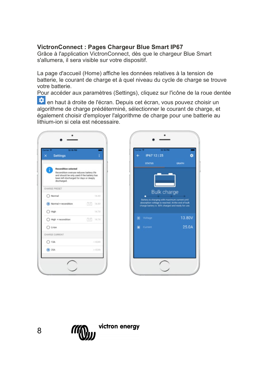# **VictronConnect : Pages Chargeur Blue Smart IP67**

Grâce à l'application VictronConnect, dès que le chargeur Blue Smart s'allumera, il sera visible sur votre dispositif.

La page d'accueil (Home) affiche les données relatives à la tension de batterie, le courant de charge et à quel niveau du cycle de charge se trouve votre batterie.

Pour accéder aux paramètres (Settings), cliquez sur l'icône de la roue dentée

80V 0A

en haut à droite de l'écran. Depuis cet écran, vous pouvez choisir un algorithme de charge prédéterminé, sélectionner le courant de charge, et également choisir d'employer l'algorithme de charge pour une batterie au lithium-ion si cela est nécessaire.

| 12:18 PM<br><b>Settings</b><br>$\overline{\mathsf{x}}$                                                                                                                          |                   | IP67 12   25                                                                                | 12:18 PM           |
|---------------------------------------------------------------------------------------------------------------------------------------------------------------------------------|-------------------|---------------------------------------------------------------------------------------------|--------------------|
| <b>Recondition selected</b><br>Recondition overuse reduces battery life<br>and should be only used if the battery has<br>been left discharged for days or deeply<br>discharged. |                   | <b>STATUS</b>                                                                               | <b>GRAPH</b>       |
| CHARGE PRESET                                                                                                                                                                   |                   |                                                                                             | <b>Bulk charge</b> |
| O Normal                                                                                                                                                                        | 14.4V             | Battery is charging with maximum current u                                                  |                    |
| (a) Normal + recondition                                                                                                                                                        | 国<br>14.4V        | absorption voltage is reached. At the end of<br>charge battery is 80% charged and ready for |                    |
| ○ High                                                                                                                                                                          | 14.7V             |                                                                                             |                    |
| High + recondition                                                                                                                                                              | 岡<br><b>14.7V</b> | Voltage                                                                                     |                    |
| $O$ LHon                                                                                                                                                                        |                   | Current<br>×                                                                                |                    |
| CHARGE CURRENT                                                                                                                                                                  |                   |                                                                                             |                    |
| $O$ 13A                                                                                                                                                                         | $<$ 42Ab          |                                                                                             |                    |
| $\circledcirc$ 25A                                                                                                                                                              | $>42\mathrm{Ah}$  |                                                                                             |                    |

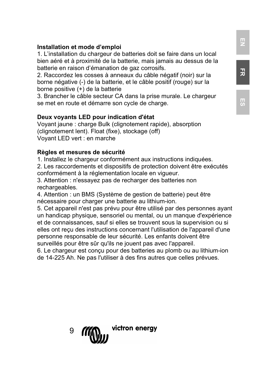### **Installation et mode d'emploi**

1. L'installation du chargeur de batteries doit se faire dans un local bien aéré et à proximité de la batterie, mais jamais au dessus de la batterie en raison d'émanation de gaz corrosifs.

2. Raccordez les cosses à anneaux du câble négatif (noir) sur la borne négative (-) de la batterie, et le câble positif (rouge) sur la borne positive (+) de la batterie

3. Brancher le câble secteur CA dans la prise murale. Le chargeur se met en route et démarre son cycle de charge.

#### **Deux voyants LED pour indication d'état**

Voyant jaune : charge Bulk (clignotement rapide), absorption (clignotement lent). Float (fixe), stockage (off) Voyant LED vert : en marche

#### **Règles et mesures de sécurité**

1. Installez le chargeur conformément aux instructions indiquées.

2. Les raccordements et dispositifs de protection doivent être exécutés conformément à la réglementation locale en vigueur.

3. Attention : n'essayez pas de recharger des batteries non rechargeables.

4. Attention : un BMS (Système de gestion de batterie) peut être nécessaire pour charger une batterie au lithium-ion.

5. Cet appareil n'est pas prévu pour être utilisé par des personnes ayant un handicap physique, sensoriel ou mental, ou un manque d'expérience et de connaissances, sauf si elles se trouvent sous la supervision ou si elles ont reçu des instructions concernant l'utilisation de l'appareil d'une personne responsable de leur sécurité. Les enfants doivent être surveillés pour être sûr qu'ils ne jouent pas avec l'appareil.

6. Le chargeur est conçu pour des batteries au plomb ou au lithium-ion de 14-225 Ah. Ne pas l'utiliser à des fins autres que celles prévues.



**FR**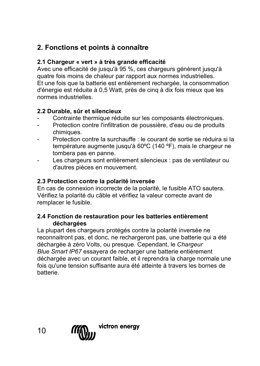# **2. Fonctions et points à connaître**

# **2.1 Chargeur « vert » à très grande efficacité**

Avec une efficacité de jusqu'à 95 %, ces chargeurs génèrent jusqu'à quatre fois moins de chaleur par rapport aux normes industrielles. Et une fois que la batterie est entièrement rechargée, la consommation d'énergie est réduite à 0,5 Watt, près de cinq à dix fois mieux que les normes industrielles.

# **2.2 Durable, sûr et silencieux**

- Contrainte thermique réduite sur les composants électroniques.
- Protection contre l'infiltration de poussière, d'eau ou de produits chimiques.
- Protection contre la surchauffe : le courant de sortie se réduira si la température augmente jusqu'à 60ºC (140 ºF), mais le chargeur ne tombera pas en panne.
- Les chargeurs sont entièrement silencieux : pas de ventilateur ou d'autres pièces en mouvement.

#### **2.3 Protection contre la polarité inversée**

En cas de connexion incorrecte de la polarité, le fusible ATO sautera. Vérifiez la polarité du câble et vérifiez la valeur correcte avant de remplacer le fusible.

#### **2.4 Fonction de restauration pour les batteries entièrement déchargées**

La plupart des chargeurs protégés contre la polarité inversée ne reconnaitront pas, et donc, ne rechargeront pas, une batterie qui a été déchargée à zéro Volts, ou presque. Cependant, le *Chargeur Blue Smart IP67* essayera de recharger une batterie entièrement déchargée avec un courant faible, et il reprendra la charge normale une fois qu'une tension suffisante aura été atteinte à travers les bornes de batterie.

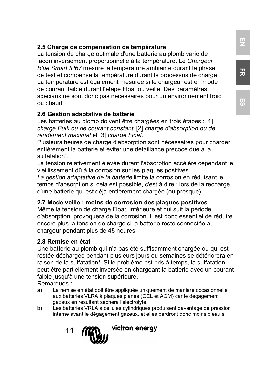# **2.5 Charge de compensation de température**

La tension de charge optimale d'une batterie au plomb varie de façon inversement proportionnelle à la température. Le *Chargeur Blue Smart IP67* mesure la température ambiante durant la phase de test et compense la température durant le processus de charge. La température est également mesurée si le chargeur est en mode de courant faible durant l'étape Float ou veille. Des paramètres spéciaux ne sont donc pas nécessaires pour un environnement froid ou chaud.

### **2.6 Gestion adaptative de batterie**

Les batteries au plomb doivent être chargées en trois étapes : [1] *charge Bulk ou de courant constant,* [2] *charge d'absorption ou de rendement maximal* et [3] *charge Float.*

Plusieurs heures de charge d'absorption sont nécessaires pour charger entièrement la batterie et éviter une défaillance précoce due à la sulfatation<sup>1</sup>

La tension relativement élevée durant l'absorption accélère cependant le vieillissement dû à la corrosion sur les plaques positives.

*La gestion adaptative de la batterie* limite la corrosion en réduisant le temps d'absorption si cela est possible, c'est à dire : lors de la recharge d'une batterie qui est déjà entièrement chargée (ou presque).

### **2.7 Mode veille : moins de corrosion des plaques positives**

Même la tension de charge Float, inférieure et qui suit la période d'absorption, provoquera de la corrosion. Il est donc essentiel de réduire encore plus la tension de charge si la batterie reste connectée au chargeur pendant plus de 48 heures.

#### **2.8 Remise en état**

Une batterie au plomb qui n'a pas été suffisamment chargée ou qui est restée déchargée pendant plusieurs jours ou semaines se détériorera en raison de la sulfatation<sup>1</sup>. Si le problème est pris à temps, la sulfatation peut être partiellement inversée en chargeant la batterie avec un courant faible jusqu'à une tension supérieure.

Remarques :

- a) La remise en état doit être appliquée uniquement de manière occasionnelle aux batteries VLRA à plaques planes (GEL et AGM) car le dégagement gazeux en résultant séchera l'électrolyte.
- b) Les batteries VRLA à cellules cylindriques produisent davantage de pression interne avant le dégagement gazeux, et elles perdront donc moins d'eau si



**FR**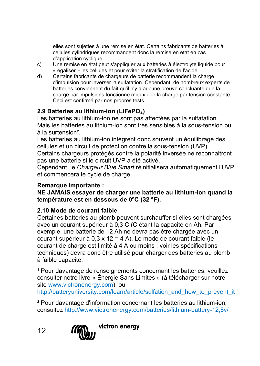elles sont sujettes à une remise en état. Certains fabricants de batteries à cellules cylindriques recommandent donc la remise en état en cas d'application cyclique.

- c) Une remise en état peut s'appliquer aux batteries à électrolyte liquide pour « égaliser » les cellules et pour éviter la stratification de l'acide.
- d) Certains fabricants de chargeurs de batterie recommandent la charge d'impulsion pour inverser la sulfatation. Cependant, de nombreux experts de batteries conviennent du fait qu'il n'y a aucune preuve concluante que la charge par impulsions fonctionne mieux que la charge par tension constante. Ceci est confirmé par nos propres tests.

# **2.9 Batteries au lithium-ion (LiFePO**₄**)**

Les batteries au lithium-ion ne sont pas affectées par la sulfatation. Mais les batteries au lithium-ion sont très sensibles à la sous-tension ou à la surtension².

Les batteries au lithium-ion intègrent donc souvent un équilibrage des cellules et un circuit de protection contre la sous-tension (UVP).

Certains chargeurs protégés contre la polarité inversée ne reconnaitront pas une batterie si le circuit UVP a été activé.

Cependant, le *Chargeur Blue Smart* réinitialisera automatiquement l'UVP et commencera le cycle de charge.

# **Remarque importante :**

**NE JAMAIS essayer de charger une batterie au lithium-ion quand la température est en dessous de 0ºC (32 °F).**

# **2.10 Mode de courant faible**

Certaines batteries au plomb peuvent surchauffer si elles sont chargées avec un courant supérieur à 0,3 C (C étant la capacité en Ah. Par exemple, une batterie de 12 Ah ne devra pas être chargée avec un courant supérieur à 0,3 x 12 = 4 A). Le mode de courant faible (le courant de charge est limité à 4 A ou moins ; voir les spécifications techniques) devra donc être utilisé pour charger des batteries au plomb à faible capacité.

<sup>1</sup> Pour davantage de renseignements concernant les batteries, veuillez consulter notre livre « Énergie Sans Limites » (à télécharger sur notre sit[e www.victronenergy.com\)](http://www.victronenergy.com/), ou [http://batteryuniversity.com/learn/article/sulfation\\_and\\_how\\_to\\_prevent\\_it](http://batteryuniversity.com/learn/article/sulfation_and_how_to_prevent_it)

² Pour davantage d'information concernant les batteries au lithium-ion, consultez http://www.victronenergy.com/batteries/lithium-battery-12,8v/



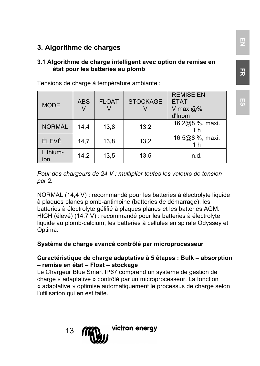# **3. Algorithme de charges**

#### **3.1 Algorithme de charge intelligent avec option de remise en état pour les batteries au plomb**

Tensions de charge à température ambiante :

| <b>MODE</b>     | <b>ABS</b> | <b>FLOAT</b> | <b>STOCKAGE</b> | <b>REMISE EN</b><br>ÉTAT<br>V max $@%$<br>d'Inom |
|-----------------|------------|--------------|-----------------|--------------------------------------------------|
| <b>NORMAL</b>   | 14.4       | 13,8         | 13.2            | 16,2@8 %, maxi.                                  |
| ÉLEVÉ           | 14.7       | 13.8         | 13.2            | 16,5@8 %, maxi.<br>1 h                           |
| Lithium-<br>ion | 14,2       | 13,5         | 13.5            | n.d.                                             |

*Pour des chargeurs de 24 V : multiplier toutes les valeurs de tension par 2.*

NORMAL (14,4 V) : recommandé pour les batteries à électrolyte liquide à plaques planes plomb-antimoine (batteries de démarrage), les batteries à électrolyte gélifié à plaques planes et les batteries AGM. HIGH (élevé) (14,7 V) : recommandé pour les batteries à électrolyte liquide au plomb-calcium, les batteries à cellules en spirale Odyssey et Optima.

# **Système de charge avancé contrôlé par microprocesseur**

#### **Caractéristique de charge adaptative à 5 étapes : Bulk – absorption – remise en état – Float – stockage**

Le Chargeur Blue Smart IP67 comprend un système de gestion de charge « adaptative » contrôlé par un microprocesseur. La fonction « adaptative » optimise automatiquement le processus de charge selon l'utilisation qui en est faite.

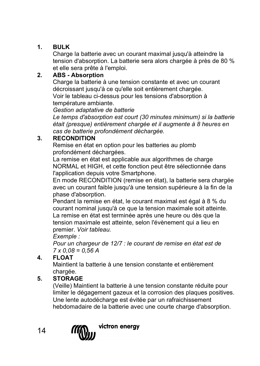# **1. BULK**

Charge la batterie avec un courant maximal jusqu'à atteindre la tension d'absorption. La batterie sera alors chargée à près de 80 % et elle sera prête à l'emploi.

# **2. ABS - Absorption**

Charge la batterie à une tension constante et avec un courant décroissant jusqu'à ce qu'elle soit entièrement chargée. Voir le tableau ci-dessus pour les tensions d'absorption à température ambiante.

*Gestion adaptative de batterie*

*Le temps d'absorption est court (30 minutes minimum) si la batterie était (presque) entièrement chargée et il augmente à 8 heures en cas de batterie profondément déchargée.*

# **3. RECONDITION**

Remise en état en option pour les batteries au plomb profondément déchargées.

La remise en état est applicable aux algorithmes de charge NORMAL et HIGH, et cette fonction peut être sélectionnée dans l'application depuis votre Smartphone.

En mode RECONDITION (remise en état), la batterie sera chargée avec un courant faible jusqu'à une tension supérieure à la fin de la phase d'absorption.

Pendant la remise en état, le courant maximal est égal à 8 % du courant nominal jusqu'à ce que la tension maximale soit atteinte. La remise en état est terminée après une heure ou dès que la tension maximale est atteinte, selon l'évènement qui a lieu en premier. *Voir tableau.*

# *Exemple :*

*Pour un chargeur de 12/7 : le courant de remise en état est de 7 x 0,08 = 0,56 A*

# **4. FLOAT**

Maintient la batterie à une tension constante et entièrement chargée.

# **5. STORAGE**

(Veille) Maintient la batterie à une tension constante réduite pour limiter le dégagement gazeux et la corrosion des plaques positives. Une lente autodécharge est évitée par un rafraichissement hebdomadaire de la batterie avec une courte charge d'absorption.

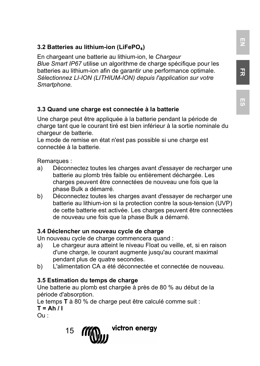# **3.2 Batteries au lithium-ion (LiFePO**₄**)**

En chargeant une batterie au lithium-ion, le *Chargeur Blue Smart IP67* utilise un algorithme de charge spécifique pour les batteries au lithium-ion afin de garantir une performance optimale. *Sélectionnez LI-ION (LITHIUM-ION) depuis l'application sur votre Smartphone.*

# **3.3 Quand une charge est connectée à la batterie**

Une charge peut être appliquée à la batterie pendant la période de charge tant que le courant tiré est bien inférieur à la sortie nominale du chargeur de batterie.

Le mode de remise en état n'est pas possible si une charge est connectée à la batterie.

Remarques :<br>a) Déconr

- Déconnectez toutes les charges avant d'essayer de recharger une batterie au plomb très faible ou entièrement déchargée. Les charges peuvent être connectées de nouveau une fois que la phase Bulk a démarré.
- b) Déconnectez toutes les charges avant d'essayer de recharger une batterie au lithium-ion si la protection contre la sous-tension (UVP) de cette batterie est activée. Les charges peuvent être connectées de nouveau une fois que la phase Bulk a démarré.

### **3.4 Déclencher un nouveau cycle de charge**

Un nouveau cycle de charge commencera quand :

- a) Le chargeur aura atteint le niveau Float ou veille, et, si en raison d'une charge, le courant augmente jusqu'au courant maximal pendant plus de quatre secondes.
- b) L'alimentation CA a été déconnectée et connectée de nouveau.

#### **3.5 Estimation du temps de charge**

Une batterie au plomb est chargée à près de 80 % au début de la période d'absorption.

Le temps **T** à 80 % de charge peut être calculé comme suit :

 $T = Ah / I$ 

Ou :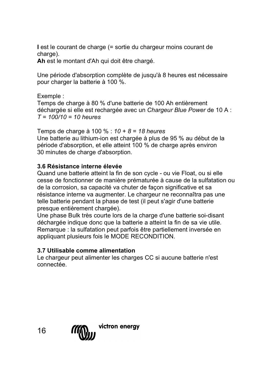**I** est le courant de charge (= sortie du chargeur moins courant de charge).

**Ah** est le montant d'Ah qui doit être chargé.

Une période d'absorption complète de jusqu'à 8 heures est nécessaire pour charger la batterie à 100 %.

Exemple :

Temps de charge à 80 % d'une batterie de 100 Ah entièrement déchargée si elle est rechargée avec un *Chargeur Blue Power* de 10 A : *T = 100/10 = 10 heures*

Temps de charge à 100 % : *10 + 8 = 18 heures* Une batterie au lithium-ion est chargée à plus de 95 % au début de la période d'absorption, et elle atteint 100 % de charge après environ 30 minutes de charge d'absorption.

### **3.6 Résistance interne élevée**

Quand une batterie atteint la fin de son cycle - ou vie Float, ou si elle cesse de fonctionner de manière prématurée à cause de la sulfatation ou de la corrosion, sa capacité va chuter de façon significative et sa résistance interne va augmenter. Le chargeur ne reconnaîtra pas une telle batterie pendant la phase de test (il peut s'agir d'une batterie presque entièrement chargée).

Une phase Bulk très courte lors de la charge d'une batterie soi-disant déchargée indique donc que la batterie a atteint la fin de sa vie utile. Remarque : la sulfatation peut parfois être partiellement inversée en appliquant plusieurs fois le MODE RECONDITION.

### **3.7 Utilisable comme alimentation**

Le chargeur peut alimenter les charges CC si aucune batterie n'est connectée.

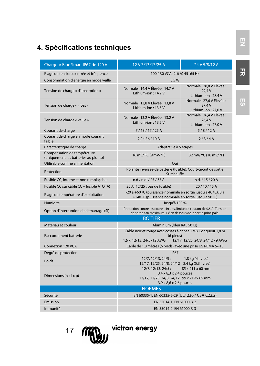# **4. Spécifications techniques**

| Chargeur Blue Smart IP67 de 120 V                                  | 12 V 7/13/17/25 A                                                                                                                            | 24 V 5/8/12 A                                             |  |
|--------------------------------------------------------------------|----------------------------------------------------------------------------------------------------------------------------------------------|-----------------------------------------------------------|--|
| Plage de tension d'entrée et fréquence                             | 100-130 VCA (2-6 A) 45 -65 Hz                                                                                                                |                                                           |  |
| Consommation d'énergie en mode veille                              | 0.5W                                                                                                                                         |                                                           |  |
| Tension de charge « d'absorption »                                 | Normale: 14.4 V Élevée: 14.7 V<br>Lithium-ion: 14.2 V                                                                                        | Normale: 28.8 V Élevée :<br>29.4 V<br>Lithium-ion: 28.4 V |  |
| Tension de charge « Float »                                        | Normale: 13.8 V Élevée: 13.8 V<br>Lithium-ion: 13.5 V                                                                                        | Normale: 27.6 V Élevée :<br>27.4 V<br>Lithium-ion: 27.0 V |  |
| Tension de charge « veille »                                       | Normale: 13,2 V Élevée: 13,2 V<br>Lithium-ion: 13.5 V                                                                                        | Normale: 26.4 V Élevée :<br>26.4 V<br>Lithium-ion: 27.0 V |  |
| Courant de charge                                                  | 7/13/17/25A                                                                                                                                  | 5/8/12A                                                   |  |
| Courant de charge en mode courant<br>faible                        | 2/4/6/10A                                                                                                                                    | 2/3/4A                                                    |  |
| Caractéristique de charge                                          | Adaptative à 5 étapes                                                                                                                        |                                                           |  |
| Compensation de température<br>(uniquement les batteries au plomb) | 16 mV/ °C (9 mV/ °F)                                                                                                                         | 32 mV/ °C (18 mV/ °F)                                     |  |
| Utilisable comme alimentation                                      | Oui                                                                                                                                          |                                                           |  |
| Protection                                                         | Polarité inversée de batterie (fusible), Court-circuit de sortie<br>Surchauffe                                                               |                                                           |  |
| Fusible CC, interne et non remplaçable                             | n.d / n.d. / 25 / 35 A                                                                                                                       | n.d. / 15 / 20 A                                          |  |
| Fusible CC sur câble CC - fusible ATO (A)                          | 20 A (12/25 : pas de fusible)                                                                                                                | 20/10/15A                                                 |  |
| Plage de température d'exploitation                                | -20 à +60 °C (puissance nominale en sortie jusqu'à 40 °C), 0 à<br>+140 °F (puissance nominale en sortie jusqu'à 90 °F)                       |                                                           |  |
| Humidité                                                           | Jusau'à 100 %                                                                                                                                |                                                           |  |
| Option d'interruption de démarrage (Si)                            | Protection contre les courts-circuits, limite de courant de 0,5 A, Tension<br>de sortie : au maximum 1 V en dessous de la sortie principale. |                                                           |  |
|                                                                    | <b>BOITIER</b>                                                                                                                               |                                                           |  |
| Matériau et couleur                                                | Aluminium (bleu RAL 5012)                                                                                                                    |                                                           |  |
| <b>Raccordement batterie</b>                                       | Câble noir et rouge avec cosses à anneau M8. Longueur 1,8 m<br>(6 pieds)                                                                     |                                                           |  |
| Connexion 120 VCA                                                  | 12/7, 12/13, 24/5 -12 AWG<br>12/17, 12/25, 24/8, 24/12 - 9 AWG<br>Câble de 1,8 mètres (6 pieds) avec une prise US NEMA 5/-15                 |                                                           |  |
| Degré de protection                                                | <b>IP67</b>                                                                                                                                  |                                                           |  |
|                                                                    | 12/7, 12/13, 24/5:                                                                                                                           | 1,8 kg (4 livres)                                         |  |
| Poids                                                              | 12/17, 12/25, 24/8, 24/12: 2,4 kg (5,3 livres)                                                                                               |                                                           |  |
|                                                                    | 12/7, 12/13, 24/5:                                                                                                                           | 85 x 211 x 60 mm                                          |  |
| Dimensions (h x l x p)                                             | $3.4 \times 8.3 \times 2.4$ pouces<br>12/17, 12/25, 24/8, 24/12: 99 x 219 x 65 mm                                                            |                                                           |  |
|                                                                    | 3.9 x 8.6 x 2.6 pouces                                                                                                                       |                                                           |  |
|                                                                    | <b>NORMES</b>                                                                                                                                |                                                           |  |
| Sécurité                                                           | EN 60335-1, EN 60335-2-29 (UL1236 / CSA C22.2)                                                                                               |                                                           |  |
| Émission                                                           | EN 55014-1, EN 61000-3-2                                                                                                                     |                                                           |  |
| Immunité                                                           | EN 55014-2, EN 61000-3-3                                                                                                                     |                                                           |  |

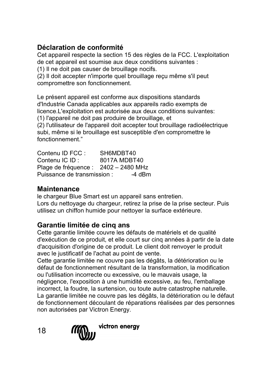# **Déclaration de conformité**

Cet appareil respecte la section 15 des règles de la FCC. L'exploitation de cet appareil est soumise aux deux conditions suivantes :

(1) Il ne doit pas causer de brouillage nocifs.

(2) Il doit accepter n'importe quel brouillage reçu même s'il peut compromettre son fonctionnement.

Le présent appareil est conforme aux dispositions standards d'Industrie Canada applicables aux appareils radio exempts de licence.L'exploitation est autorisée aux deux conditions suivantes:

(1) l'appareil ne doit pas produire de brouillage, et

(2) l'utilisateur de l'appareil doit accepter tout brouillage radioélectrique subi, même si le brouillage est susceptible d'en compromettre le fonctionnement."

Contenu ID FCC : SH6MDBT40<br>Contenu IC ID : 8017A MDBT 8017A MDBT40 Plage de fréquence : 2402 – 2480 MHz Puissance de transmission : -4 dBm

# **Maintenance**

le chargeur Blue Smart est un appareil sans entretien. Lors du nettoyage du chargeur, retirez la prise de la prise secteur. Puis utilisez un chiffon humide pour nettoyer la surface extérieure.

# **Garantie limitée de cinq ans**

Cette garantie limitée couvre les défauts de matériels et de qualité d'exécution de ce produit, et elle court sur cinq années à partir de la date d'acquisition d'origine de ce produit. Le client doit renvoyer le produit avec le justificatif de l'achat au point de vente.

Cette garantie limitée ne couvre pas les dégâts, la détérioration ou le défaut de fonctionnement résultant de la transformation, la modification ou l'utilisation incorrecte ou excessive, ou le mauvais usage, la négligence, l'exposition à une humidité excessive, au feu, l'emballage incorrect, la foudre, la surtension, ou toute autre catastrophe naturelle. La garantie limitée ne couvre pas les dégâts, la détérioration ou le défaut de fonctionnement découlant de réparations réalisées par des personnes non autorisées par Victron Energy.



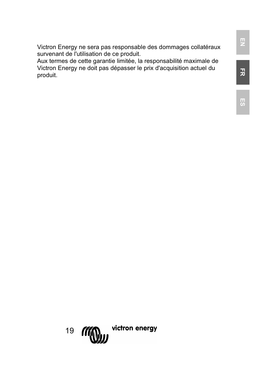Victron Energy ne sera pas responsable des dommages collatéraux survenant de l'utilisation de ce produit.

Aux termes de cette garantie limitée, la responsabilité maximale de Victron Energy ne doit pas dépasser le prix d'acquisition actuel du produit.

**FR**

**EN**

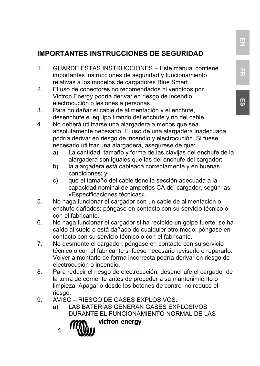# **IMPORTANTES INSTRUCCIONES DE SEGURIDAD**

- 1. GUARDE ESTAS INSTRUCCIONES Este manual contiene importantes instrucciones de seguridad y funcionamiento relativas a los modelos de cargadores Blue Smart.
- 2. El uso de conectores no recomendados ni vendidos por Victron Energy podría derivar en riesgo de incendio, electrocución o lesiones a personas.
- 3. Para no dañar el cable de alimentación y el enchufe, desenchufe el equipo tirando del enchufe y no del cable.
- 4. No deberá utilizarse una alargadera a menos que sea absolutamente necesario. El uso de una alargadera inadecuada podría derivar en riesgo de incendio y electrocución. Si fuese necesario utilizar una alargadera, asegúrese de que:
	- La cantidad, tamaño y forma de las clavijas del enchufe de la alargadera son iguales que las del enchufe del cargador;
	- b) la alargadera está cableada correctamente y en buenas condiciones; y
	- c) que el tamaño del cable tiene la sección adecuada a la capacidad nominal de amperios CA del cargador, según las «Especificaciones técnicas».
- 5. No haga funcionar el cargador con un cable de alimentación o enchufe dañados; póngase en contacto con su servicio técnico o con el fabricante.
- 6. No haga funcionar el cargador si ha recibido un golpe fuerte, se ha caído al suelo o está dañado de cualquier otro modo; póngase en contacto con su servicio técnico o con el fabricante.
- 7. No desmonte el cargador; póngase en contacto con su servicio técnico o con el fabricante si fuese necesario revisarlo o repararlo. Volver a montarlo de forma incorrecta podría derivar en riesgo de electrocución o incendio.
- 8. Para reducir el riesgo de electrocución, desenchufe el cargador de la toma de corriente antes de proceder a su mantenimiento o limpieza. Apagarlo desde los botones de control no reduce el riesgo.
- 9. AVISO RIESGO DE GASES EXPLOSIVOS.
	- a) LAS BATERÍAS GENERAN GASES EXPLOSIVOS DURANTE EL FUNCIONAMIENTO NORMAL DE LAS

1

victron energy

**FR**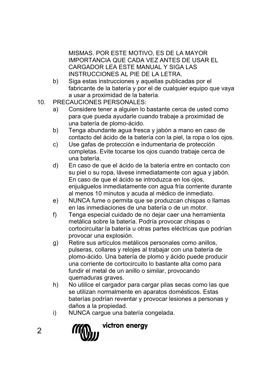MISMAS. POR ESTE MOTIVO, ES DE LA MAYOR IMPORTANCIA QUE CADA VEZ ANTES DE USAR EL CARGADOR LEA ESTE MANUAL Y SIGA LAS INSTRUCCIONES AL PIE DE LA LETRA.

- b) Siga estas instrucciones y aquellas publicadas por el fabricante de la batería y por el de cualquier equipo que vaya a usar a proximidad de la batería.
- 10. PRECAUCIONES PERSONALES:
	- a) Considere tener a alguien lo bastante cerca de usted como para que pueda ayudarle cuando trabaje a proximidad de una batería de plomo-ácido.
	- b) Tenga abundante agua fresca y jabón a mano en caso de contacto del ácido de la batería con la piel, la ropa o los ojos.
	- c) Use gafas de protección e indumentaria de protección completas. Evite tocarse los ojos cuando trabaje cerca de una batería.
	- d) En caso de que el ácido de la batería entre en contacto con su piel o su ropa, lávese inmediatamente con agua y jabón. En caso de que el ácido se introduzca en los ojos, enjuáguelos inmediatamente con agua fría corriente durante al menos 10 minutos y acuda al médico de inmediato.
	- e) NUNCA fume o permita que se produzcan chispas o llamas en las inmediaciones de una batería o de un motor.
	- f) Tenga especial cuidado de no dejar caer una herramienta metálica sobre la batería. Podría provocar chispas o cortocircuitar la batería u otras partes eléctricas que podrían provocar una explosión.
	- g) Retire sus artículos metálicos personales como anillos, pulseras, collares y relojes al trabajar con una batería de plomo-ácido. Una batería de plomo y ácido puede producir una corriente de cortocircuito lo bastante alta como para fundir el metal de un anillo o similar, provocando quemaduras graves.
	- h) No utilice el cargador para cargar pilas secas como las que se utilizan normalmente en aparatos domésticos. Estas baterías podrían reventar y provocar lesiones a personas y daños a la propiedad.
	- i) NUNCA cargue una batería congelada.



 $\mathfrak{p}$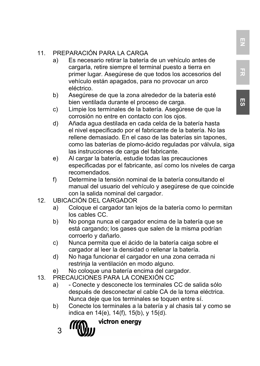# 11. PREPARACIÓN PARA LA CARGA<br>a) Es necesario retirar la batería

- Es necesario retirar la batería de un vehículo antes de cargarla, retire siempre el terminal puesto a tierra en primer lugar. Asegúrese de que todos los accesorios del vehículo están apagados, para no provocar un arco eléctrico.
- b) Asegúrese de que la zona alrededor de la batería esté bien ventilada durante el proceso de carga.
- c) Limpie los terminales de la batería. Asegúrese de que la corrosión no entre en contacto con los ojos.
- d) Añada agua destilada en cada celda de la batería hasta el nivel especificado por el fabricante de la batería. No las rellene demasiado. En el caso de las baterías sin tapones, como las baterías de plomo-ácido reguladas por válvula, siga las instrucciones de carga del fabricante.
- e) Al cargar la batería, estudie todas las precauciones especificadas por el fabricante, así como los niveles de carga recomendados.
- f) Determine la tensión nominal de la batería consultando el manual del usuario del vehículo y asegúrese de que coincide con la salida nominal del cargador.
- 12. UBICACIÓN DEL CARGADOR
	- a) Coloque el cargador tan lejos de la batería como lo permitan los cables CC.
	- b) No ponga nunca el cargador encima de la batería que se está cargando; los gases que salen de la misma podrían corroerlo y dañarlo.
	- c) Nunca permita que el ácido de la batería caiga sobre el cargador al leer la densidad o rellenar la batería.
	- d) No haga funcionar el cargador en una zona cerrada ni restrinja la ventilación en modo alguno.
	- e) No coloque una batería encima del cargador.
- 13. PRECAUCIONES PARA LA CONEXIÓN CC
	- a) Conecte y desconecte los terminales CC de salida sólo después de desconectar el cable CA de la toma eléctrica. Nunca deje que los terminales se toquen entre sí.
	- b) Conecte los terminales a la batería y al chasis tal y como se indica en 14(e), 14(f), 15(b), y 15(d).

3

victron energy

**EN**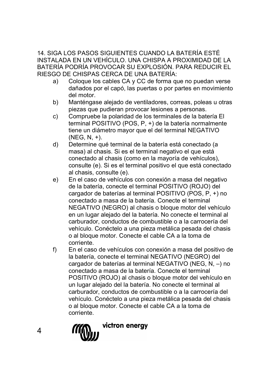14. SIGA LOS PASOS SIGUIENTES CUANDO LA BATERÍA ESTÉ INSTALADA EN UN VEHÍCULO. UNA CHISPA A PROXIMIDAD DE LA BATERÍA PODRÍA PROVOCAR SU EXPLOSIÓN. PARA REDUCIR EL RIESGO DE CHISPAS CERCA DE UNA BATERÍA:

- Coloque los cables CA y CC de forma que no puedan verse dañados por el capó, las puertas o por partes en movimiento del motor.
- b) Manténgase alejado de ventiladores, correas, poleas u otras piezas que pudieran provocar lesiones a personas.
- c) Compruebe la polaridad de los terminales de la batería El terminal POSITIVO (POS, P, +) de la batería normalmente tiene un diámetro mayor que el del terminal NEGATIVO  $(NEG, N, +).$
- d) Determine qué terminal de la batería está conectado (a masa) al chasis. Si es el terminal negativo el que está conectado al chasis (como en la mayoría de vehículos), consulte (e). Si es el terminal positivo el que está conectado al chasis, consulte (e).
- e) En el caso de vehículos con conexión a masa del negativo de la batería, conecte el terminal POSITIVO (ROJO) del cargador de baterías al terminal POSITIVO (POS, P, +) no conectado a masa de la batería. Conecte el terminal NEGATIVO (NEGRO) al chasis o bloque motor del vehículo en un lugar alejado del la batería. No conecte el terminal al carburador, conductos de combustible o a la carrocería del vehículo. Conéctelo a una pieza metálica pesada del chasis o al bloque motor. Conecte el cable CA a la toma de corriente.
- f) En el caso de vehículos con conexión a masa del positivo de la batería, conecte el terminal NEGATIVO (NEGRO) del cargador de baterías al terminal NEGATIVO (NEG, N, –) no conectado a masa de la batería. Conecte el terminal POSITIVO (ROJO) al chasis o bloque motor del vehículo en un lugar alejado del la batería. No conecte el terminal al carburador, conductos de combustible o a la carrocería del vehículo. Conéctelo a una pieza metálica pesada del chasis o al bloque motor. Conecte el cable CA a la toma de corriente.



4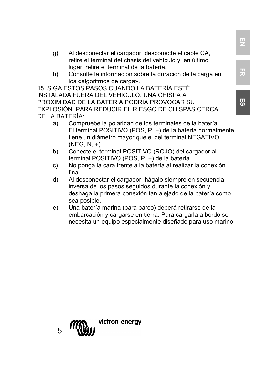- g) Al desconectar el cargador, desconecte el cable CA, retire el terminal del chasis del vehículo y, en último lugar, retire el terminal de la batería.
- h) Consulte la información sobre la duración de la carga en los «algoritmos de carga».

15. SIGA ESTOS PASOS CUANDO LA BATERÍA ESTÉ INSTALADA FUERA DEL VEHÍCULO. UNA CHISPA A PROXIMIDAD DE LA BATERÍA PODRÍA PROVOCAR SU EXPLOSIÓN. PARA REDUCIR EL RIESGO DE CHISPAS CERCA DE LA BATERÍA:

- a) Compruebe la polaridad de los terminales de la batería. El terminal POSITIVO (POS, P, +) de la batería normalmente tiene un diámetro mayor que el del terminal NEGATIVO  $(NEG, N, +).$
- b) Conecte el terminal POSITIVO (ROJO) del cargador al terminal POSITIVO (POS, P, +) de la batería.
- c) No ponga la cara frente a la batería al realizar la conexión final.
- d) Al desconectar el cargador, hágalo siempre en secuencia inversa de los pasos seguidos durante la conexión y deshaga la primera conexión tan alejado de la batería como sea posible.
- e) Una batería marina (para barco) deberá retirarse de la embarcación y cargarse en tierra. Para cargarla a bordo se necesita un equipo especialmente diseñado para uso marino.

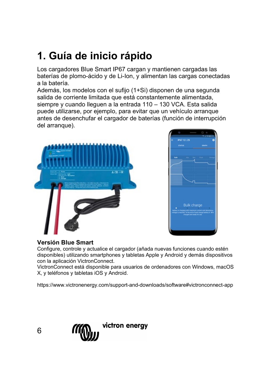# **1. Guía de inicio rápido**

Los cargadores Blue Smart IP67 cargan y mantienen cargadas las baterías de plomo-ácido y de Li-Ion, y alimentan las cargas conectadas a la batería.

Además, los modelos con el sufijo (1+Si) disponen de una segunda salida de corriente limitada que está constantemente alimentada, siempre y cuando lleguen a la entrada 110 – 130 VCA. Esta salida puede utilizarse, por ejemplo, para evitar que un vehículo arranque antes de desenchufar el cargador de baterías (función de interrupción del arranque).





### **Versión Blue Smart**

Configure, controle y actualice el cargador (añada nuevas funciones cuando estén disponibles) utilizando smartphones y tabletas Apple y Android y demás dispositivos con la aplicación VictronConnect.

VictronConnect está disponible para usuarios de ordenadores con Windows, macOS X, y teléfonos y tabletas iOS y Android.

https://www.victronenergy.com/support-and-downloads/software#victronconnect-app

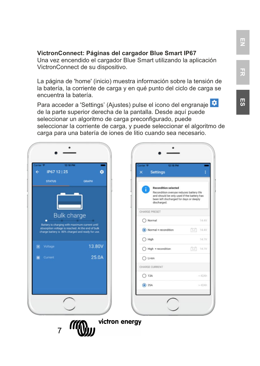#### **VictronConnect: Páginas del cargador Blue Smart IP67**

Una vez encendido el cargador Blue Smart utilizando la aplicación VictronConnect de su dispositivo.

La página de 'home' (inicio) muestra información sobre la tensión de la batería, la corriente de carga y en qué punto del ciclo de carga se encuentra la batería.

Para acceder a 'Settings' (Ajustes) pulse el icono del engranaje  $\bullet$ de la parte superior derecha de la pantalla. Desde aquí puede seleccionar un algoritmo de carga preconfigurado, puede seleccionar la corriente de carga, y puede seleccionar el algoritmo de carga para una batería de iones de litio cuando sea necesario.

IP67 12 | 25 á Settings **STATUS** GRAPH indition selected Recondition overuse reduces battery life and should be only used if the battery has been left discharged for days or deeply discharged CHARGE PRESET **Bulk charge**  $\bigcirc$  Normal 14 AV any was maximum current until<br>age is reached. At the end of bulk<br>s. 80% charged and ready for use (a) Normal + recondition  $\boxed{24}$  14.4V  $O$  High 14.7V **Voltage** 13.80V  $\bigcap$  High + recondition  $\boxed{14}$  14.7V 25.0A  $O$  Li-ion CHARGE CURRENT  $O$  13A  $<$  42Ah  $\circ$  25A victron energy 7

**EN**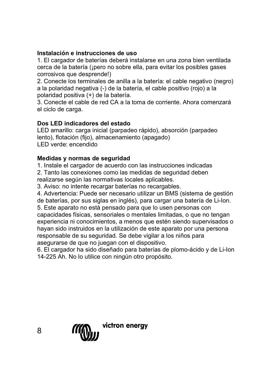# **Instalación e instrucciones de uso**

1. El cargador de baterías deberá instalarse en una zona bien ventilada cerca de la batería (¡pero no sobre ella, para evitar los posibles gases corrosivos que desprende!)

2. Conecte los terminales de anilla a la batería: el cable negativo (negro) a la polaridad negativa (-) de la batería, el cable positivo (rojo) a la polaridad positiva (+) de la batería.

3. Conecte el cable de red CA a la toma de corriente. Ahora comenzará el ciclo de carga.

# **Dos LED indicadores del estado**

LED amarillo: carga inicial (parpadeo rápido), absorción (parpadeo lento), flotación (fijo), almacenamiento (apagado) LED verde: encendido

# **Medidas y normas de seguridad**

1. Instale el cargador de acuerdo con las instrucciones indicadas 2. Tanto las conexiones como las medidas de seguridad deben

realizarse según las normativas locales aplicables.

3. Aviso: no intente recargar baterías no recargables.

4. Advertencia: Puede ser necesario utilizar un BMS (sistema de gestión de baterías, por sus siglas en inglés), para cargar una batería de Li-Ion.

5. Este aparato no está pensado para que lo usen personas con capacidades físicas, sensoriales o mentales limitadas, o que no tengan experiencia ni conocimientos, a menos que estén siendo supervisados o hayan sido instruidos en la utilización de este aparato por una persona responsable de su seguridad. Se debe vigilar a los niños para asegurarse de que no juegan con el dispositivo.

6. El cargador ha sido diseñado para baterías de plomo-ácido y de Li-Ion 14-225 Ah. No lo utilice con ningún otro propósito.

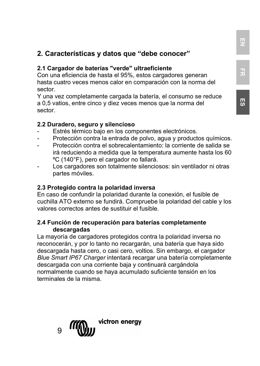# **2. Características y datos que "debe conocer"**

#### **2.1 Cargador de baterías "verde" ultraeficiente**

Con una eficiencia de hasta el 95%, estos cargadores generan hasta cuatro veces menos calor en comparación con la norma del sector.

Y una vez completamente cargada la batería, el consumo se reduce a 0,5 vatios, entre cinco y diez veces menos que la norma del sector.

#### **2.2 Duradero, seguro y silencioso**

- Estrés térmico bajo en los componentes electrónicos.
- Protección contra la entrada de polvo, agua y productos químicos.
- Protección contra el sobrecalentamiento: la corriente de salida se irá reduciendo a medida que la temperatura aumente hasta los 60 ºC (140°F), pero el cargador no fallará.
- Los cargadores son totalmente silenciosos: sin ventilador ni otras partes móviles.

#### **2.3 Protegido contra la polaridad inversa**

En caso de confundir la polaridad durante la conexión, el fusible de cuchilla ATO externo se fundirá. Compruebe la polaridad del cable y los valores correctos antes de sustituir el fusible.

#### **2.4 Función de recuperación para baterías completamente descargadas**

La mayoría de cargadores protegidos contra la polaridad inversa no reconocerán, y por lo tanto no recargarán, una batería que haya sido descargada hasta cero, o casi cero, voltios. Sin embargo, el cargador *Blue Smart IP67 Charger* intentará recargar una batería completamente descargada con una corriente baja y continuará cargándola normalmente cuando se haya acumulado suficiente tensión en los terminales de la misma.



**FR**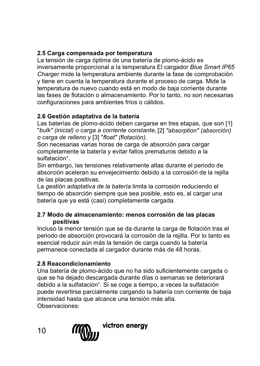# **2.5 Carga compensada por temperatura**

La tensión de carga óptima de una batería de plomo-ácido es inversamente proporcional a la temperatura El cargador *Blue Smart IP65 Charger* mide la temperatura ambiente durante la fase de comprobación y tiene en cuenta la temperatura durante el proceso de carga. Mide la temperatura de nuevo cuando está en modo de baja corriente durante las fases de flotación o almacenamiento. Por lo tanto, no son necesarias configuraciones para ambientes fríos o cálidos.

# **2.6 Gestión adaptativa de la batería**

Las baterías de plomo-ácido deben cargarse en tres etapas, que son [1] "*bulk" (inicial) o carga a corriente constante,* [2] *"absorption" (absorción) o carga de relleno* y [3] "*float" (flotación).*

Son necesarias varias horas de carga de absorción para cargar completamente la batería y evitar fallos prematuros debido a la sulfatación<sup>1</sup>.

Sin embargo, las tensiones relativamente altas durante el periodo de absorción aceleran su envejecimiento debido a la corrosión de la rejilla de las placas positivas.

La *gestión adaptativa de la batería* limita la corrosión reduciendo el tiempo de absorción siempre que sea posible, esto es, al cargar una batería que ya está (casi) completamente cargada.

#### **2.7 Modo de almacenamiento: menos corrosión de las placas positivas**

Incluso la menor tensión que se da durante la carga de flotación tras el periodo de absorción provocará la corrosión de la rejilla. Por lo tanto es esencial reducir aún más la tensión de carga cuando la batería permanece conectada al cargador durante más de 48 horas.

# **2.8 Reacondicionamiento**

Una batería de plomo-ácido que no ha sido suficientemente cargada o que se ha dejado descargada durante días o semanas se deteriorará debido a la sulfatación<sup>1</sup>. Si se coge a tiempo, a veces la sulfatación puede revertirse parcialmente cargando la batería con corriente de baja intensidad hasta que alcance una tensión más alta. Observaciones:

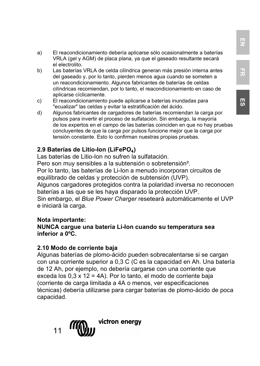**ES**

- a) El reacondicionamiento debería aplicarse sólo ocasionalmente a baterías VRLA (gel y AGM) de placa plana, ya que el gaseado resultante secará el electrolito.
- b) Las baterías VRLA de celda cilíndrica generan más presión interna antes del gaseado y, por lo tanto, pierden menos agua cuando se someten a un reacondicionamiento. Algunos fabricantes de baterías de celdas cilíndricas recomiendan, por lo tanto, el reacondicionamiento en caso de aplicarse cíclicamente.
- c) El reacondicionamiento puede aplicarse a baterías inundadas para "ecualizar" las celdas y evitar la estratificación del ácido.
- d) Algunos fabricantes de cargadores de baterías recomiendan la carga por pulsos para invertir el proceso de sulfatación. Sin embargo, la mayoría de los expertos en el campo de las baterías coinciden en que no hay pruebas concluyentes de que la carga por pulsos funcione mejor que la carga por tensión constante. Esto lo confirman nuestras propias pruebas.

# **2.9 Baterías de Litio-Ion (LiFePO**₄**)**

Las baterías de Litio-Ion no sufren la sulfatación.

Pero son muy sensibles a la subtensión o sobretensión².

Por lo tanto, las baterías de Li-Ion a menudo incorporan circuitos de equilibrado de celdas y protección de subtensión (UVP).

Algunos cargadores protegidos contra la polaridad inversa no reconocen baterías a las que se les haya disparado la protección UVP.

Sin embargo, el *Blue Power Charger* reseteará automáticamente el UVP e iniciará la carga.

### **Nota importante:**

#### **NUNCA cargue una batería Li-Ion cuando su temperatura sea inferior a 0ºC.**

### **2.10 Modo de corriente baja**

Algunas baterías de plomo-ácido pueden sobrecalentarse si se cargan con una corriente superior a 0,3 C (C es la capacidad en Ah. Una batería de 12 Ah, por ejemplo, no debería cargarse con una corriente que exceda los 0,3 x 12 = 4A). Por lo tanto, el modo de corriente baja (corriente de carga limitada a 4A o menos, ver especificaciones técnicas) debería utilizarse para cargar baterías de plomo-ácido de poca capacidad.

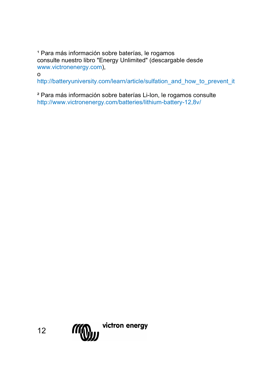<sup>1</sup> Para más información sobre baterías, le rogamos consulte nuestro libro "Energy Unlimited" (descargable desde [www.victronenergy.com\)](http://www.victronenergy.com/),

o

[http://batteryuniversity.com/learn/article/sulfation\\_and\\_how\\_to\\_prevent\\_it](http://batteryuniversity.com/learn/article/sulfation_and_how_to_prevent_it)

² Para más información sobre baterías Li-Ion, le rogamos consulte http://www.victronenergy.com/batteries/lithium-battery-12,8v/

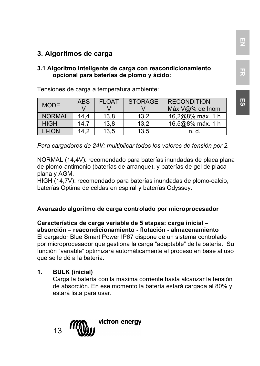# **3. Algoritmos de carga**

#### **3.1 Algoritmo inteligente de carga con reacondicionamiento opcional para baterías de plomo y ácido:**

| <b>MODE</b>   | <b>ABS</b> | <b>FLOAT</b> | <b>STORAGE</b> | <b>RECONDITION</b><br>Máx V@% de Inom |
|---------------|------------|--------------|----------------|---------------------------------------|
| <b>NORMAL</b> | 14.4       | 13.8         | 13.2           | 16,2@8% máx. 1 h                      |
| <b>HIGH</b>   | 14.7       | 13.8         | 13.2           | 16,5@8% máx. 1 h                      |
| LI-ION        | 14.2       | 13,5         | 13.5           | n. d.                                 |

Tensiones de carga a temperatura ambiente:

*Para cargadores de 24V: multiplicar todos los valores de tensión por 2.*

NORMAL (14,4V): recomendado para baterías inundadas de placa plana de plomo-antimonio (baterías de arranque), y baterías de gel de placa plana y AGM.

HIGH (14,7V): recomendado para baterías inundadas de plomo-calcio, baterías Optima de celdas en espiral y baterías Odyssey.

#### **Avanzado algoritmo de carga controlado por microprocesador**

**Característica de carga variable de 5 etapas: carga inicial – absorción – reacondicionamiento - flotación - almacenamiento** El cargador Blue Smart Power IP67 dispone de un sistema controlado por microprocesador que gestiona la carga "adaptable" de la batería.. Su función "variable" optimizará automáticamente el proceso en base al uso que se le dé a la batería.

#### **1. BULK (inicial)**

Carga la batería con la máxima corriente hasta alcanzar la tensión de absorción. En ese momento la batería estará cargada al 80% y estará lista para usar.



**EN**

**FR**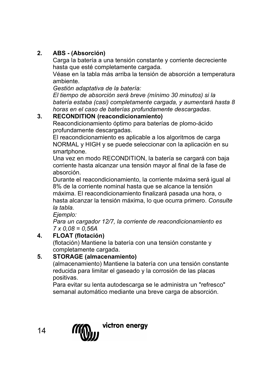# **2. ABS - (Absorción)**

Carga la batería a una tensión constante y corriente decreciente hasta que esté completamente cargada.

Véase en la tabla más arriba la tensión de absorción a temperatura ambiente.

*Gestión adaptativa de la batería:*

*El tiempo de absorción será breve (mínimo 30 minutos) si la batería estaba (casi) completamente cargada, y aumentará hasta 8 horas en el caso de baterías profundamente descargadas.*

# **3. RECONDITION (reacondicionamiento)**

Reacondicionamiento óptimo para baterías de plomo-ácido profundamente descargadas.

El reacondicionamiento es aplicable a los algoritmos de carga NORMAL y HIGH y se puede seleccionar con la aplicación en su smartphone.

Una vez en modo RECONDITION, la batería se cargará con baja corriente hasta alcanzar una tensión mayor al final de la fase de absorción.

Durante el reacondicionamiento, la corriente máxima será igual al 8% de la corriente nominal hasta que se alcance la tensión máxima. El reacondicionamiento finalizará pasada una hora, o hasta alcanzar la tensión máxima, lo que ocurra primero. *Consulte la tabla.*

*Ejemplo:*

*Para un cargador 12/7, la corriente de reacondicionamiento es 7 x 0,08 = 0,56A*

# **4. FLOAT (flotación)**

(flotación) Mantiene la batería con una tensión constante y completamente cargada.

# **5. STORAGE (almacenamiento)**

(almacenamiento) Mantiene la batería con una tensión constante reducida para limitar el gaseado y la corrosión de las placas positivas.

Para evitar su lenta autodescarga se le administra un "refresco" semanal automático mediante una breve carga de absorción.

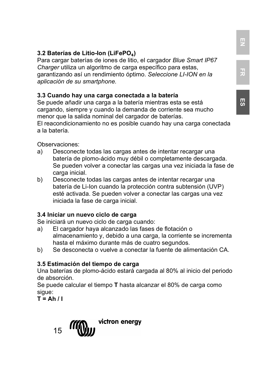Para cargar baterías de iones de litio, el cargador *Blue Smart IP67 Charger* utiliza un algoritmo de carga específico para estas, garantizando así un rendimiento óptimo. *Seleccione LI-ION en la aplicación de su smartphone.*

# **3.3 Cuando hay una carga conectada a la batería**

Se puede añadir una carga a la batería mientras esta se está cargando, siempre y cuando la demanda de corriente sea mucho menor que la salida nominal del cargador de baterías. El reacondicionamiento no es posible cuando hay una carga conectada a la batería.

Observaciones:

- a) Desconecte todas las cargas antes de intentar recargar una batería de plomo-ácido muy débil o completamente descargada. Se pueden volver a conectar las cargas una vez iniciada la fase de carga inicial.
- b) Desconecte todas las cargas antes de intentar recargar una batería de Li-Ion cuando la protección contra subtensión (UVP) esté activada. Se pueden volver a conectar las cargas una vez iniciada la fase de carga inicial.

# **3.4 Iniciar un nuevo ciclo de carga**

Se iniciará un nuevo ciclo de carga cuando:

- a) El cargador haya alcanzado las fases de flotación o almacenamiento y, debido a una carga, la corriente se incrementa hasta el máximo durante más de cuatro segundos.
- b) Se desconecta o vuelve a conectar la fuente de alimentación CA.

# **3.5 Estimación del tiempo de carga**

Una baterías de plomo-ácido estará cargada al 80% al inicio del periodo de absorción.

Se puede calcular el tiempo **T** hasta alcanzar el 80% de carga como sigue:

 $T = Ah / I$ 



**EN**

**FR**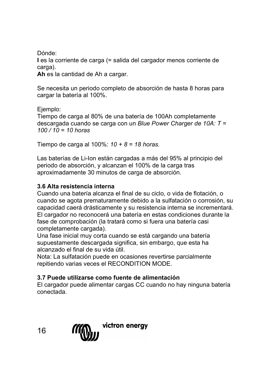Dónde: **I** es la corriente de carga (= salida del cargador menos corriente de carga).

**Ah** es la cantidad de Ah a cargar.

Se necesita un periodo completo de absorción de hasta 8 horas para cargar la batería al 100%.

Ejemplo:

Tiempo de carga al 80% de una batería de 100Ah completamente descargada cuando se carga con un *Blue Power Charger de 10A: T = 100 / 10 = 10 horas*

Tiempo de carga al 100%: *10 + 8 = 18 horas.*

Las baterías de Li-Ion están cargadas a más del 95% al principio del periodo de absorción, y alcanzan el 100% de la carga tras aproximadamente 30 minutos de carga de absorción.

# **3.6 Alta resistencia interna**

Cuando una batería alcanza el final de su ciclo, o vida de flotación, o cuando se agota prematuramente debido a la sulfatación o corrosión, su capacidad caerá drásticamente y su resistencia interna se incrementará. El cargador no reconocerá una batería en estas condiciones durante la fase de comprobación (la tratará como si fuera una batería casi completamente cargada).

Una fase inicial muy corta cuando se está cargando una batería supuestamente descargada significa, sin embargo, que esta ha alcanzado el final de su vida útil.

Nota: La sulfatación puede en ocasiones revertirse parcialmente repitiendo varias veces el RECONDITION MODE.

# **3.7 Puede utilizarse como fuente de alimentación**

El cargador puede alimentar cargas CC cuando no hay ninguna batería conectada.

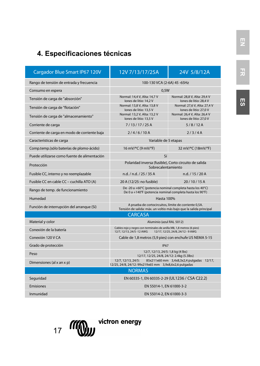# **4. Especificaciones técnicas**

| Cargador Blue Smart IP67 120V                | 12V 7/13/17/25A                                                                                                                      | 24V 5/8/12A                                            |  |
|----------------------------------------------|--------------------------------------------------------------------------------------------------------------------------------------|--------------------------------------------------------|--|
| Rango de tensión de entrada y frecuencia     | 100-130 VCA (2-6A) 45 -65Hz                                                                                                          |                                                        |  |
| Consumo en espera                            | 0.5W                                                                                                                                 |                                                        |  |
| Tensión de carga de "absorción"              | Normal: 14.4 V. Alta: 14.7 V<br>Iones de litio: 14.2 V                                                                               | Normal: 28.8 V. Alta: 29.4 V<br>Iones de litio: 28.4 V |  |
| Tensión de carga de "flotación"              | Normal: 13.8 V. Alta: 13.8 V<br>Iones de litio: 13.5 V                                                                               | Normal: 27.6 V. Alta: 27.4 V<br>Iones de litio: 27.0 V |  |
| Tensión de carga de "almacenamiento"         | Normal: 13.2 V. Alta: 13.2 V<br>Iones de litio: 13.5 V                                                                               | Normal: 26.4 V. Alta: 26.4 V<br>Iones de litio: 27.0 V |  |
| Corriente de carga                           | 7/13/17/25A                                                                                                                          | 5/8/12A                                                |  |
| Corriente de carga en modo de corriente baja | 2/4/6/10A                                                                                                                            | 7/3/4A                                                 |  |
| Características de carga                     | Variable de 5 etapas                                                                                                                 |                                                        |  |
| Comp.temp.(sólo baterías de plomo-ácido)     | 16 mV/°C (9 mV/°F)                                                                                                                   | 32 mV/°C (18mV/°F)                                     |  |
| Puede utilizarse como fuente de alimentación | Sí                                                                                                                                   |                                                        |  |
| Protección                                   | Polaridad inversa (fusible), Corto circuito de salida<br>Sobrecalentamiento                                                          |                                                        |  |
| Fusible CC, interno y no reemplazable        | n.d. / n.d. / 25 / 35 A                                                                                                              | n.d. / 15 / 20 A                                       |  |
| Fusible CC en cable CC - cuchilla ATO (A)    | 20 A (12/25: no fusible)                                                                                                             | 20/10/15A                                              |  |
| Rango de temp. de funcionamiento             | De -20 a +60°C (potencia nominal completa hasta los 40°C)<br>De 0 a +140°F (potencia nominal completa hasta los 90°F)                |                                                        |  |
| Humedad                                      | <b>Hasta 100%</b>                                                                                                                    |                                                        |  |
| Función de interrupción del arranque (Sí)    | A prueba de cortocircuitos, límite de corriente 0,5A.<br>Tensión de salida: máx. un voltio más bajo que la salida principal          |                                                        |  |
|                                              | <b>CARCASA</b>                                                                                                                       |                                                        |  |
| Material y color                             | Aluminio (azul RAL 5012)                                                                                                             |                                                        |  |
| Conexión de la batería                       | Cables rojo y negro con terminales de anilla M8, 1,8 metros (6 pies)<br>12/7, 12/13, 24/5 - 12 AWG 12/17, 12/25, 24/8, 24/12 - 9 AWG |                                                        |  |
| Conexión 120 V CA                            | Cable de 1,8 metros (5,9 pies) con enchufe US NEMA 5-15                                                                              |                                                        |  |
| Grado de protección                          | <b>IP67</b>                                                                                                                          |                                                        |  |
| Peso                                         | 12/7, 12/13, 24/5: 1,8 kg (4 lbs)<br>12/17, 12/25, 24/8, 24/12: 2.4kg (5.3lbs)                                                       |                                                        |  |
| Dimensiones (al x an x p)                    | 12/7, 12/13, 24/5:<br>85x211x60 mm 3,4x8,3x2,4 pulgadas 12/17,<br>12/25, 24/8, 24/12: 99x219x65 mm 3,9x8,6x2,6 pulgadas              |                                                        |  |
|                                              | <b>NORMAS</b>                                                                                                                        |                                                        |  |
| Seguridad                                    | EN 60335-1, EN 60335-2-29 (UL1236 / CSA C22.2)                                                                                       |                                                        |  |
| <b>Emisiones</b>                             | EN 55014-1, EN 61000-3-2                                                                                                             |                                                        |  |
| Inmunidad                                    | EN 55014-2, EN 61000-3-3                                                                                                             |                                                        |  |

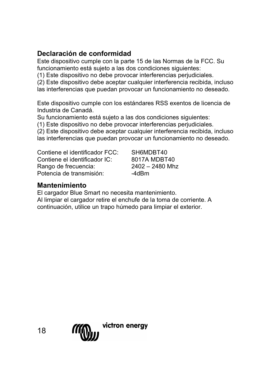# **Declaración de conformidad**

Este dispositivo cumple con la parte 15 de las Normas de la FCC. Su funcionamiento está sujeto a las dos condiciones siguientes:

(1) Este dispositivo no debe provocar interferencias perjudiciales.

(2) Este dispositivo debe aceptar cualquier interferencia recibida, incluso

las interferencias que puedan provocar un funcionamiento no deseado.

Este dispositivo cumple con los estándares RSS exentos de licencia de Industria de Canadá.

Su funcionamiento está sujeto a las dos condiciones siguientes:

(1) Este dispositivo no debe provocar interferencias perjudiciales.

(2) Este dispositivo debe aceptar cualquier interferencia recibida, incluso las interferencias que puedan provocar un funcionamiento no deseado.

Contiene el identificador FCC: SH6MDBT40<br>Contiene el identificador IC: 8017A MDBT40 Contiene el identificador IC: 8017A MDBT40 Rango de frecuencia: 2402 –<br>Potencia de transmisión: 240Bm Potencia de transmisión:

# **Mantenimiento**

El cargador Blue Smart no necesita mantenimiento.

Al limpiar el cargador retire el enchufe de la toma de corriente. A continuación, utilice un trapo húmedo para limpiar el exterior.

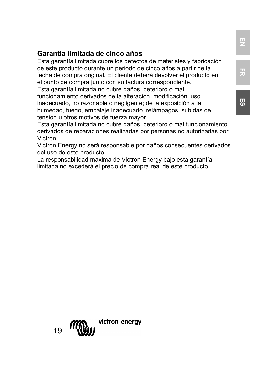Esta garantía limitada cubre los defectos de materiales y fabricación de este producto durante un periodo de cinco años a partir de la fecha de compra original. El cliente deberá devolver el producto en el punto de compra junto con su factura correspondiente. Esta garantía limitada no cubre daños, deterioro o mal

funcionamiento derivados de la alteración, modificación, uso inadecuado, no razonable o negligente; de la exposición a la humedad, fuego, embalaje inadecuado, relámpagos, subidas de tensión u otros motivos de fuerza mayor.

Esta garantía limitada no cubre daños, deterioro o mal funcionamiento derivados de reparaciones realizadas por personas no autorizadas por Victron.

Victron Energy no será responsable por daños consecuentes derivados del uso de este producto.

La responsabilidad máxima de Victron Energy bajo esta garantía limitada no excederá el precio de compra real de este producto.